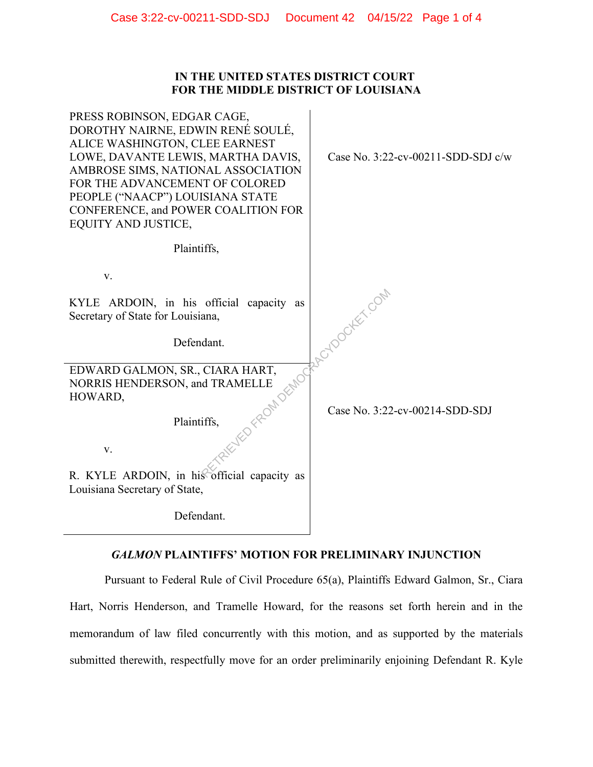## **IN THE UNITED STATES DISTRICT COURT FOR THE MIDDLE DISTRICT OF LOUISIANA**

| PRESS ROBINSON, EDGAR CAGE,<br>DOROTHY NAIRNE, EDWIN RENÉ SOULÉ,<br>ALICE WASHINGTON, CLEE EARNEST<br>LOWE, DAVANTE LEWIS, MARTHA DAVIS,<br>AMBROSE SIMS, NATIONAL ASSOCIATION<br>FOR THE ADVANCEMENT OF COLORED<br>PEOPLE ("NAACP") LOUISIANA STATE<br>CONFERENCE, and POWER COALITION FOR<br><b>EQUITY AND JUSTICE,</b> | Case No. $3:22$ -cv-00211-SDD-SDJ c/w |
|---------------------------------------------------------------------------------------------------------------------------------------------------------------------------------------------------------------------------------------------------------------------------------------------------------------------------|---------------------------------------|
| Plaintiffs,                                                                                                                                                                                                                                                                                                               |                                       |
| V.                                                                                                                                                                                                                                                                                                                        |                                       |
| KYLE ARDOIN, in his official capacity as<br>Secretary of State for Louisiana,                                                                                                                                                                                                                                             | to docker com                         |
| Defendant.                                                                                                                                                                                                                                                                                                                |                                       |
| EDWARD GALMON, SR., CIARA HART,<br>NORRIS HENDERSON, and TRAMELLE<br>HOWARD,                                                                                                                                                                                                                                              |                                       |
| Plaintiffs,                                                                                                                                                                                                                                                                                                               | Case No. 3:22-cv-00214-SDD-SDJ        |
| V.                                                                                                                                                                                                                                                                                                                        |                                       |
| R. KYLE ARDOIN, in his official capacity as<br>Louisiana Secretary of State,                                                                                                                                                                                                                                              |                                       |
| Defendant.                                                                                                                                                                                                                                                                                                                |                                       |

# *GALMON* **PLAINTIFFS' MOTION FOR PRELIMINARY INJUNCTION**

Pursuant to Federal Rule of Civil Procedure 65(a), Plaintiffs Edward Galmon, Sr., Ciara Hart, Norris Henderson, and Tramelle Howard, for the reasons set forth herein and in the memorandum of law filed concurrently with this motion, and as supported by the materials submitted therewith, respectfully move for an order preliminarily enjoining Defendant R. Kyle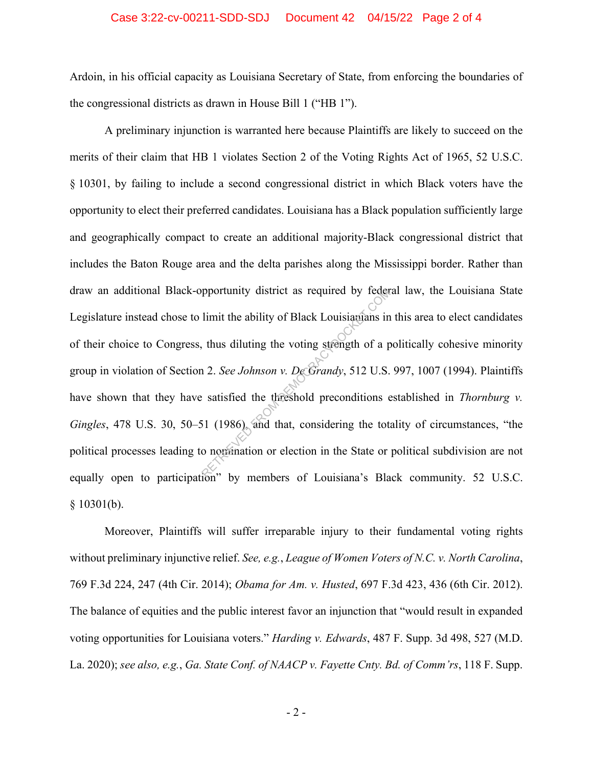#### Case 3:22-cv-00211-SDD-SDJ Document 42 04/15/22 Page 2 of 4

Ardoin, in his official capacity as Louisiana Secretary of State, from enforcing the boundaries of the congressional districts as drawn in House Bill 1 ("HB 1").

A preliminary injunction is warranted here because Plaintiffs are likely to succeed on the merits of their claim that HB 1 violates Section 2 of the Voting Rights Act of 1965, 52 U.S.C. § 10301, by failing to include a second congressional district in which Black voters have the opportunity to elect their preferred candidates. Louisiana has a Black population sufficiently large and geographically compact to create an additional majority-Black congressional district that includes the Baton Rouge area and the delta parishes along the Mississippi border. Rather than draw an additional Black-opportunity district as required by federal law, the Louisiana State Legislature instead chose to limit the ability of Black Louisianians in this area to elect candidates of their choice to Congress, thus diluting the voting strength of a politically cohesive minority group in violation of Section 2. *See Johnson v. De Grandy*, 512 U.S. 997, 1007 (1994). Plaintiffs have shown that they have satisfied the threshold preconditions established in *Thornburg v. Gingles*, 478 U.S. 30, 50–51 (1986), and that, considering the totality of circumstances, "the political processes leading to nomination or election in the State or political subdivision are not equally open to participation" by members of Louisiana's Black community. 52 U.S.C.  $§ 10301(b).$ pportunity district as required by feder<br>limit the ability of Black Louisianians in<br>thus diluting the voting strength of a p<br>1 2. See Johnson v. DeGrandy, 512 U.S.<br>satisfied the threshold preconditions of<br>51 (1986), and th

Moreover, Plaintiffs will suffer irreparable injury to their fundamental voting rights without preliminary injunctive relief. *See, e.g.*, *League of Women Voters of N.C. v. North Carolina*, 769 F.3d 224, 247 (4th Cir. 2014); *Obama for Am. v. Husted*, 697 F.3d 423, 436 (6th Cir. 2012). The balance of equities and the public interest favor an injunction that "would result in expanded voting opportunities for Louisiana voters." *Harding v. Edwards*, 487 F. Supp. 3d 498, 527 (M.D. La. 2020); *see also, e.g.*, *Ga. State Conf. of NAACP v. Fayette Cnty. Bd. of Comm'rs*, 118 F. Supp.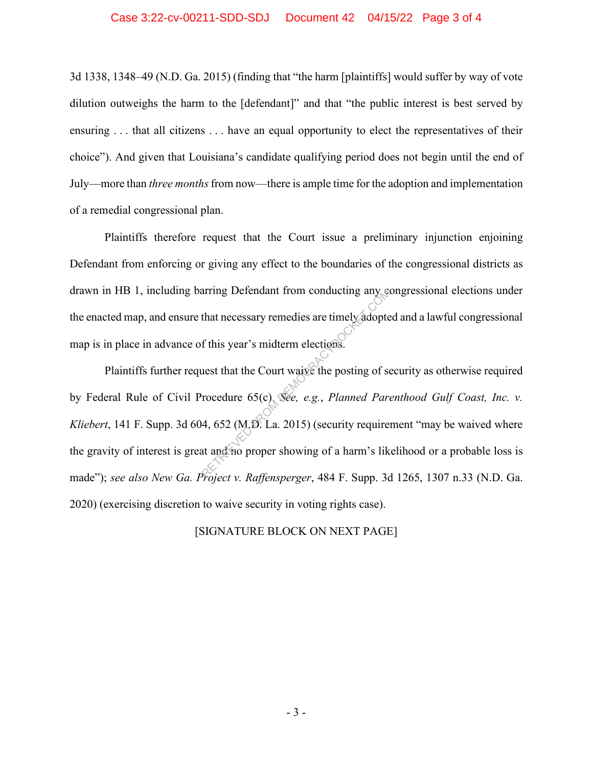#### Case 3:22-cv-00211-SDD-SDJ Document 42 04/15/22 Page 3 of 4

3d 1338, 1348–49 (N.D. Ga. 2015) (finding that "the harm [plaintiffs] would suffer by way of vote dilution outweighs the harm to the [defendant]" and that "the public interest is best served by ensuring . . . that all citizens . . . have an equal opportunity to elect the representatives of their choice"). And given that Louisiana's candidate qualifying period does not begin until the end of July—more than *three months*from now—there is ample time for the adoption and implementation of a remedial congressional plan.

Plaintiffs therefore request that the Court issue a preliminary injunction enjoining Defendant from enforcing or giving any effect to the boundaries of the congressional districts as drawn in HB 1, including barring Defendant from conducting any congressional elections under the enacted map, and ensure that necessary remedies are timely adopted and a lawful congressional map is in place in advance of this year's midterm elections.

Plaintiffs further request that the Court waive the posting of security as otherwise required by Federal Rule of Civil Procedure 65(c). *See, e.g.*, *Planned Parenthood Gulf Coast, Inc. v. Kliebert*, 141 F. Supp. 3d 604, 652 (M.D. La. 2015) (security requirement "may be waived where the gravity of interest is great and no proper showing of a harm's likelihood or a probable loss is made"); *see also New Ga. Project v. Raffensperger*, 484 F. Supp. 3d 1265, 1307 n.33 (N.D. Ga. 2020) (exercising discretion to waive security in voting rights case). Example 1981 E Supplied that necessary remedies are timely adopted that necessary remedies are timely adopted and the Court waive the posting of series that the Court waive the posting of series to recedure 65(c). See, e.g

#### [SIGNATURE BLOCK ON NEXT PAGE]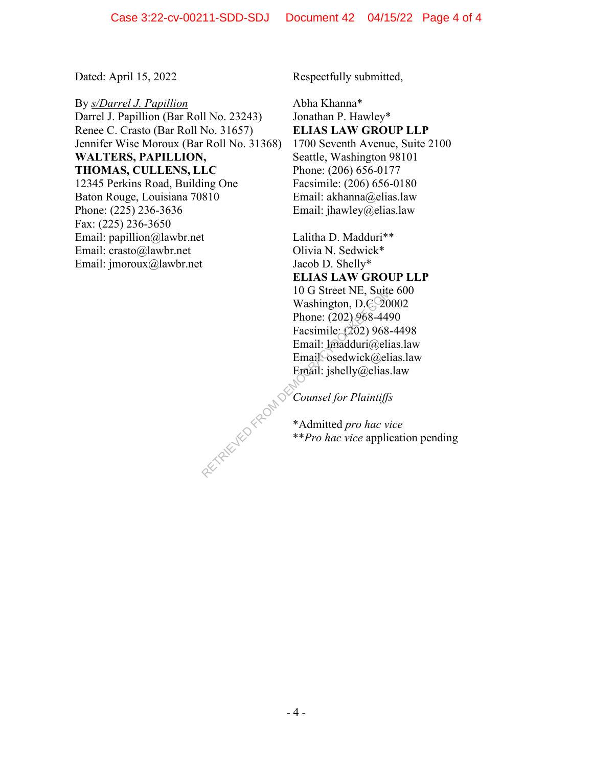By *s/Darrel J. Papillion*  Darrel J. Papillion (Bar Roll No. 23243) Renee C. Crasto (Bar Roll No. 31657) Jennifer Wise Moroux (Bar Roll No. 31368) **WALTERS, PAPILLION, THOMAS, CULLENS, LLC** 12345 Perkins Road, Building One Baton Rouge, Louisiana 70810 Phone: (225) 236-3636 Fax: (225) 236-3650 Email: papillion@lawbr.net Email: crasto@lawbr.net Email: jmoroux@lawbr.net

Dated: April 15, 2022 Respectfully submitted,

Abha Khanna\* Jonathan P. Hawley\* **ELIAS LAW GROUP LLP** 1700 Seventh Avenue, Suite 2100 Seattle, Washington 98101 Phone: (206) 656-0177 Facsimile: (206) 656-0180 Email: akhanna@elias.law Email: jhawley@elias.law

Lalitha D. Madduri\*\* Olivia N. Sedwick\* Jacob D. Shelly\* **ELIAS LAW GROUP LLP** 10 G Street NE, Suite 600 Washington, D.C. 20002 Phone: (202) 968-4490 Facsimile: (202) 968-4498 Email: lmadduri@elias.law Email<sup>O</sup>sedwick@elias.law Email: jshelly@elias.law RETRIEVED FROM DE

*Counsel for Plaintiffs*

\*Admitted *pro hac vice*  \*\**Pro hac vice* application pending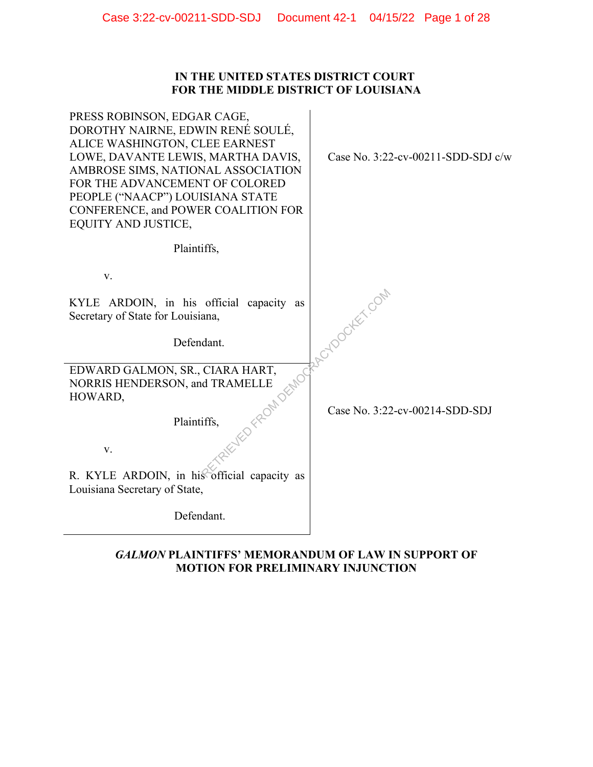## **IN THE UNITED STATES DISTRICT COURT FOR THE MIDDLE DISTRICT OF LOUISIANA**

| PRESS ROBINSON, EDGAR CAGE,<br>DOROTHY NAIRNE, EDWIN RENÉ SOULÉ,<br>ALICE WASHINGTON, CLEE EARNEST<br>LOWE, DAVANTE LEWIS, MARTHA DAVIS,<br>AMBROSE SIMS, NATIONAL ASSOCIATION<br>FOR THE ADVANCEMENT OF COLORED<br>PEOPLE ("NAACP") LOUISIANA STATE<br>CONFERENCE, and POWER COALITION FOR<br><b>EQUITY AND JUSTICE,</b> | Case No. $3:22$ -cv-00211-SDD-SDJ c/w |
|---------------------------------------------------------------------------------------------------------------------------------------------------------------------------------------------------------------------------------------------------------------------------------------------------------------------------|---------------------------------------|
| Plaintiffs,                                                                                                                                                                                                                                                                                                               |                                       |
| V.                                                                                                                                                                                                                                                                                                                        |                                       |
| KYLE ARDOIN, in his official capacity as<br>Secretary of State for Louisiana,                                                                                                                                                                                                                                             | Cylogocker.com                        |
| Defendant.                                                                                                                                                                                                                                                                                                                |                                       |
| EDWARD GALMON, SR., CIARA HART,<br>NORRIS HENDERSON, and TRAMELLE<br>HOWARD,                                                                                                                                                                                                                                              |                                       |
| UFED FFROM DEMOC<br>Plaintiffs,                                                                                                                                                                                                                                                                                           | Case No. 3:22-cv-00214-SDD-SDJ        |
| V.                                                                                                                                                                                                                                                                                                                        |                                       |
| R. KYLE ARDOIN, in his official capacity as<br>Louisiana Secretary of State,                                                                                                                                                                                                                                              |                                       |
| Defendant.                                                                                                                                                                                                                                                                                                                |                                       |

# *GALMON* **PLAINTIFFS' MEMORANDUM OF LAW IN SUPPORT OF MOTION FOR PRELIMINARY INJUNCTION**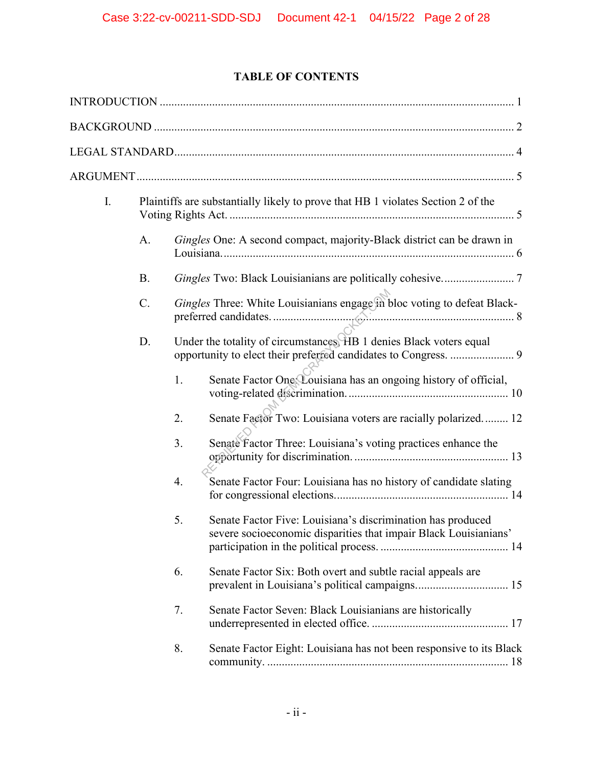# **TABLE OF CONTENTS**

| I. |           | Plaintiffs are substantially likely to prove that HB 1 violates Section 2 of the |                                                                                                                                        |
|----|-----------|----------------------------------------------------------------------------------|----------------------------------------------------------------------------------------------------------------------------------------|
|    | A.        |                                                                                  | Gingles One: A second compact, majority-Black district can be drawn in                                                                 |
|    | <b>B.</b> |                                                                                  |                                                                                                                                        |
|    | C.        |                                                                                  | Gingles Three: White Louisianians engage in bloc voting to defeat Black-                                                               |
|    | D.        |                                                                                  | Under the totality of circumstances, HB 1 denies Black voters equal<br>opportunity to elect their preferred candidates to Congress.  9 |
|    |           | 1.                                                                               | Senate Factor One Louisiana has an ongoing history of official,                                                                        |
|    |           | 2.                                                                               | Senate Factor Two: Louisiana voters are racially polarized 12                                                                          |
|    |           | 3.                                                                               | Senate Factor Three: Louisiana's voting practices enhance the                                                                          |
|    |           | 4.                                                                               | Senate Factor Four: Louisiana has no history of candidate slating                                                                      |
|    |           | 5.                                                                               | Senate Factor Five: Louisiana's discrimination has produced<br>severe socioeconomic disparities that impair Black Louisianians'        |
|    |           | 6.                                                                               | Senate Factor Six: Both overt and subtle racial appeals are<br>prevalent in Louisiana's political campaigns 15                         |
|    |           | 7.                                                                               | Senate Factor Seven: Black Louisianians are historically                                                                               |
|    |           | 8.                                                                               | Senate Factor Eight: Louisiana has not been responsive to its Black                                                                    |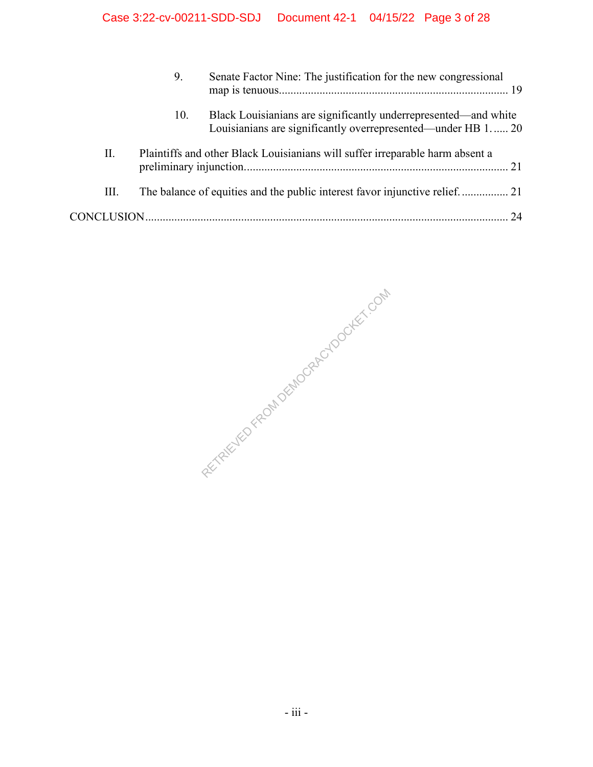|    | 9.  | Senate Factor Nine: The justification for the new congressional                                                                 |
|----|-----|---------------------------------------------------------------------------------------------------------------------------------|
|    | 10. | Black Louisianians are significantly underrepresented—and white<br>Louisianians are significantly overrepresented—under HB 1 20 |
| П. |     | Plaintiffs and other Black Louisianians will suffer irreparable harm absent a                                                   |
| Ш. |     |                                                                                                                                 |
|    |     |                                                                                                                                 |

RETRIEVED FROM DEMOCRACYDOCKET.COM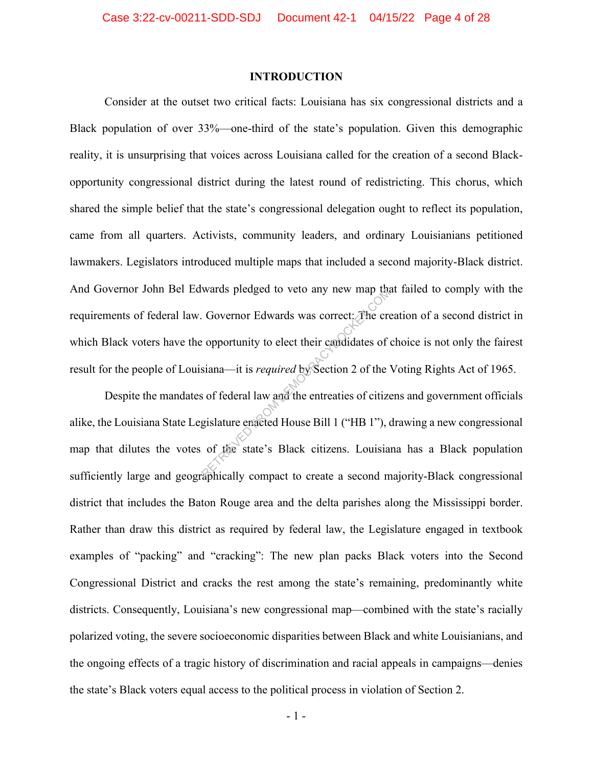### **INTRODUCTION**

Consider at the outset two critical facts: Louisiana has six congressional districts and a Black population of over 33%—one-third of the state's population. Given this demographic reality, it is unsurprising that voices across Louisiana called for the creation of a second Blackopportunity congressional district during the latest round of redistricting. This chorus, which shared the simple belief that the state's congressional delegation ought to reflect its population, came from all quarters. Activists, community leaders, and ordinary Louisianians petitioned lawmakers. Legislators introduced multiple maps that included a second majority-Black district. And Governor John Bel Edwards pledged to veto any new map that failed to comply with the requirements of federal law. Governor Edwards was correct: The creation of a second district in which Black voters have the opportunity to elect their candidates of choice is not only the fairest result for the people of Louisiana—it is *required* by Section 2 of the Voting Rights Act of 1965. Wards piedged to veto any new map the<br>
Covernor Edwards was correct: The cre<br>
exportently to elect their candidates of<br>
siana—it is *required* by Section 2 of the<br>
sof federal law and the entreaties of citize<br>
gislature en

Despite the mandates of federal law and the entreaties of citizens and government officials alike, the Louisiana State Legislature enacted House Bill 1 ("HB 1"), drawing a new congressional map that dilutes the votes of the state's Black citizens. Louisiana has a Black population sufficiently large and geographically compact to create a second majority-Black congressional district that includes the Baton Rouge area and the delta parishes along the Mississippi border. Rather than draw this district as required by federal law, the Legislature engaged in textbook examples of "packing" and "cracking": The new plan packs Black voters into the Second Congressional District and cracks the rest among the state's remaining, predominantly white districts. Consequently, Louisiana's new congressional map—combined with the state's racially polarized voting, the severe socioeconomic disparities between Black and white Louisianians, and the ongoing effects of a tragic history of discrimination and racial appeals in campaigns—denies the state's Black voters equal access to the political process in violation of Section 2.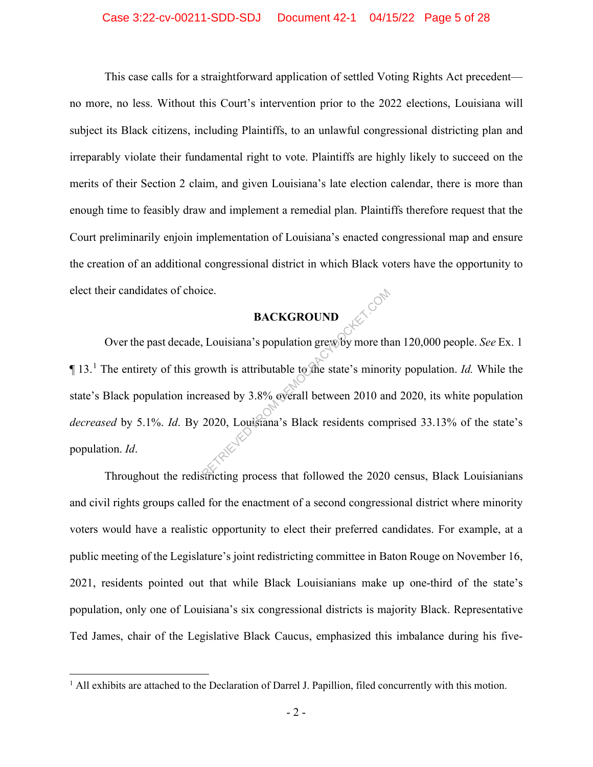### Case 3:22-cv-00211-SDD-SDJ Document 42-1 04/15/22 Page 5 of 28

This case calls for a straightforward application of settled Voting Rights Act precedent no more, no less. Without this Court's intervention prior to the 2022 elections, Louisiana will subject its Black citizens, including Plaintiffs, to an unlawful congressional districting plan and irreparably violate their fundamental right to vote. Plaintiffs are highly likely to succeed on the merits of their Section 2 claim, and given Louisiana's late election calendar, there is more than enough time to feasibly draw and implement a remedial plan. Plaintiffs therefore request that the Court preliminarily enjoin implementation of Louisiana's enacted congressional map and ensure the creation of an additional congressional district in which Black voters have the opportunity to elect their candidates of choice.

### **BACKGROUND**

Over the past decade, Louisiana's population grew by more than 120,000 people. *See* Ex. 1  $\P$  13.<sup>1</sup> The entirety of this growth is attributable to the state's minority population. *Id*. While the state's Black population increased by 3.8% overall between 2010 and 2020, its white population *decreased* by 5.1%. *Id*. By 2020, Louisiana's Black residents comprised 33.13% of the state's population. *Id*. BACKGROUND<br>
Louisiana's population grew by more the<br>
rowth is attributable to the state's minori<br>
reased by 3.8% overall between 2010 an<br>
2020, Louisiana's Black residents comp<br>
Stricting process that followed the 2020

Throughout the redistricting process that followed the 2020 census, Black Louisianians and civil rights groups called for the enactment of a second congressional district where minority voters would have a realistic opportunity to elect their preferred candidates. For example, at a public meeting of the Legislature's joint redistricting committee in Baton Rouge on November 16, 2021, residents pointed out that while Black Louisianians make up one-third of the state's population, only one of Louisiana's six congressional districts is majority Black. Representative Ted James, chair of the Legislative Black Caucus, emphasized this imbalance during his five-

 $<sup>1</sup>$  All exhibits are attached to the Declaration of Darrel J. Papillion, filed concurrently with this motion.</sup>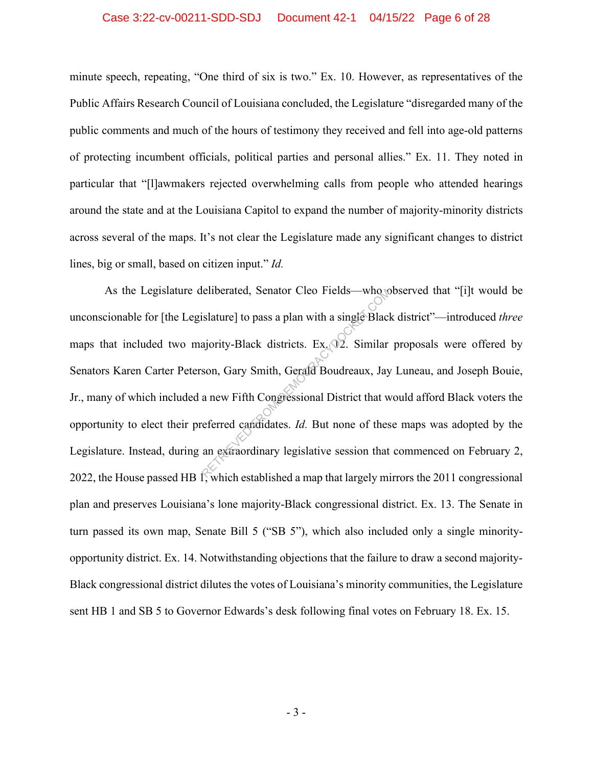### Case 3:22-cv-00211-SDD-SDJ Document 42-1 04/15/22 Page 6 of 28

minute speech, repeating, "One third of six is two." Ex. 10. However, as representatives of the Public Affairs Research Council of Louisiana concluded, the Legislature "disregarded many of the public comments and much of the hours of testimony they received and fell into age-old patterns of protecting incumbent officials, political parties and personal allies." Ex. 11. They noted in particular that "[l]awmakers rejected overwhelming calls from people who attended hearings around the state and at the Louisiana Capitol to expand the number of majority-minority districts across several of the maps. It's not clear the Legislature made any significant changes to district lines, big or small, based on citizen input." *Id.*

As the Legislature deliberated, Senator Cleo Fields—who observed that "[i]t would be unconscionable for [the Legislature] to pass a plan with a single Black district"—introduced *three* maps that included two majority-Black districts.  $Ex<sub>1</sub>Q<sub>2</sub>$ . Similar proposals were offered by Senators Karen Carter Peterson, Gary Smith, Gerald Boudreaux, Jay Luneau, and Joseph Bouie, Jr., many of which included a new Fifth Congressional District that would afford Black voters the opportunity to elect their preferred candidates. *Id.* But none of these maps was adopted by the Legislature. Instead, during an extraordinary legislative session that commenced on February 2, 2022, the House passed HB 1, which established a map that largely mirrors the 2011 congressional plan and preserves Louisiana's lone majority-Black congressional district. Ex. 13. The Senate in turn passed its own map, Senate Bill 5 ("SB 5"), which also included only a single minorityopportunity district. Ex. 14. Notwithstanding objections that the failure to draw a second majority-Black congressional district dilutes the votes of Louisiana's minority communities, the Legislature sent HB 1 and SB 5 to Governor Edwards's desk following final votes on February 18. Ex. 15. Eliberated, Senator Cleo Fields—who consistant cleo Fields—who consistents is<br>alature] to pass a plan with a single Blacket<br>ajority-Black districts. Ex. 02. Similar<br>son, Gary Smith, Gerald Boudreaux, Jay<br>a new Fifth Congre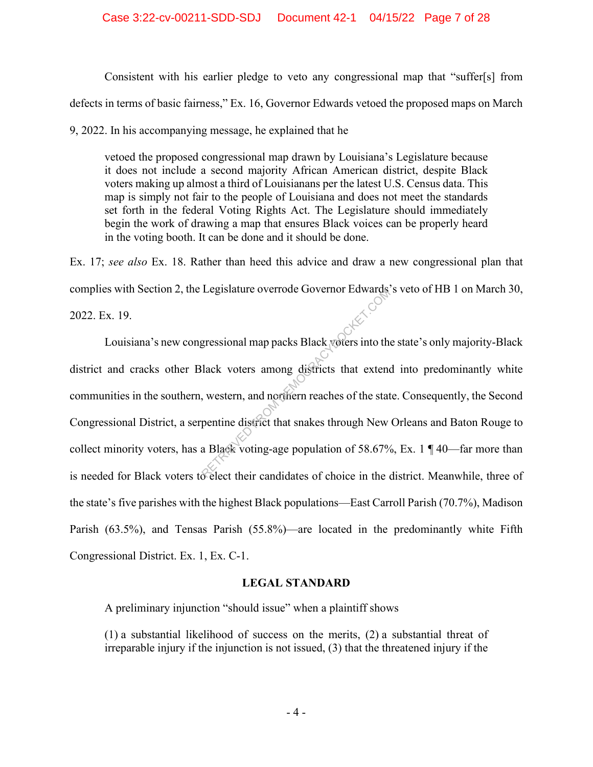Consistent with his earlier pledge to veto any congressional map that "suffer[s] from defects in terms of basic fairness," Ex. 16, Governor Edwards vetoed the proposed maps on March

9, 2022. In his accompanying message, he explained that he

vetoed the proposed congressional map drawn by Louisiana's Legislature because it does not include a second majority African American district, despite Black voters making up almost a third of Louisianans per the latest U.S. Census data. This map is simply not fair to the people of Louisiana and does not meet the standards set forth in the federal Voting Rights Act. The Legislature should immediately begin the work of drawing a map that ensures Black voices can be properly heard in the voting booth. It can be done and it should be done.

Ex. 17; *see also* Ex. 18. Rather than heed this advice and draw a new congressional plan that complies with Section 2, the Legislature overrode Governor Edwards's veto of HB 1 on March 30,

2022. Ex. 19.

Louisiana's new congressional map packs Black voters into the state's only majority-Black district and cracks other Black voters among districts that extend into predominantly white communities in the southern, western, and northern reaches of the state. Consequently, the Second Congressional District, a serpentine district that snakes through New Orleans and Baton Rouge to collect minority voters, has a Black voting-age population of 58.67%, Ex. 1  $\P$  40—far more than is needed for Black voters to elect their candidates of choice in the district. Meanwhile, three of the state's five parishes with the highest Black populations—East Carroll Parish (70.7%), Madison Parish (63.5%), and Tensas Parish (55.8%)—are located in the predominantly white Fifth Congressional District. Ex. 1, Ex. C-1. Legislature overload Governor Edwards<br>gressional map packs Black voters into the<br>lack voters among districts that extend<br>western, and nothern reaches of the state<br>pentine district that snakes through New<br>a Black voting-age

## **LEGAL STANDARD**

A preliminary injunction "should issue" when a plaintiff shows

(1) a substantial likelihood of success on the merits, (2) a substantial threat of irreparable injury if the injunction is not issued, (3) that the threatened injury if the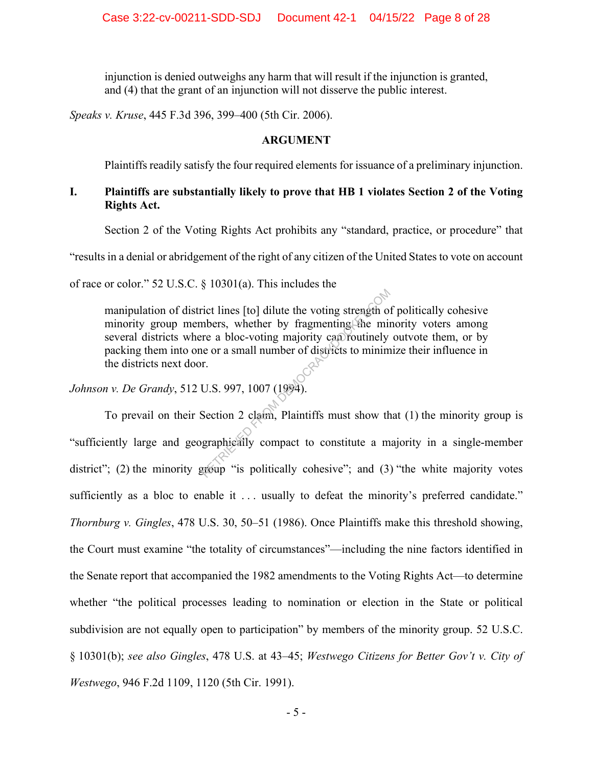injunction is denied outweighs any harm that will result if the injunction is granted, and (4) that the grant of an injunction will not disserve the public interest.

*Speaks v. Kruse*, 445 F.3d 396, 399–400 (5th Cir. 2006).

### **ARGUMENT**

Plaintiffs readily satisfy the four required elements for issuance of a preliminary injunction.

## **I. Plaintiffs are substantially likely to prove that HB 1 violates Section 2 of the Voting Rights Act.**

Section 2 of the Voting Rights Act prohibits any "standard, practice, or procedure" that

"results in a denial or abridgement of the right of any citizen of the United States to vote on account

of race or color." 52 U.S.C. § 10301(a). This includes the

manipulation of district lines [to] dilute the voting strength of politically cohesive minority group members, whether by fragmenting the minority voters among several districts where a bloc-voting majority can routinely outvote them, or by packing them into one or a small number of districts to minimize their influence in the districts next door.

*Johnson v. De Grandy*, 512 U.S. 997, 1007 (1994).

To prevail on their Section 2 claim, Plaintiffs must show that (1) the minority group is "sufficiently large and geographically compact to constitute a majority in a single-member district"; (2) the minority group "is politically cohesive"; and (3) "the white majority votes sufficiently as a bloc to enable it ... usually to defeat the minority's preferred candidate." *Thornburg v. Gingles*, 478 U.S. 30, 50–51 (1986). Once Plaintiffs make this threshold showing, the Court must examine "the totality of circumstances"—including the nine factors identified in the Senate report that accompanied the 1982 amendments to the Voting Rights Act—to determine whether "the political processes leading to nomination or election in the State or political subdivision are not equally open to participation" by members of the minority group. 52 U.S.C. § 10301(b); *see also Gingles*, 478 U.S. at 43–45; *Westwego Citizens for Better Gov't v. City of Westwego*, 946 F.2d 1109, 1120 (5th Cir. 1991). The set of the voting strength of<br>the minders, whether by fragmenting the min<br>tre a bloc-voting majority can routinely<br>the or a small number of districts to minim<br>r.<br>U.S. 997, 1007 (1994).<br>Section 2 claim, Plaintiffs must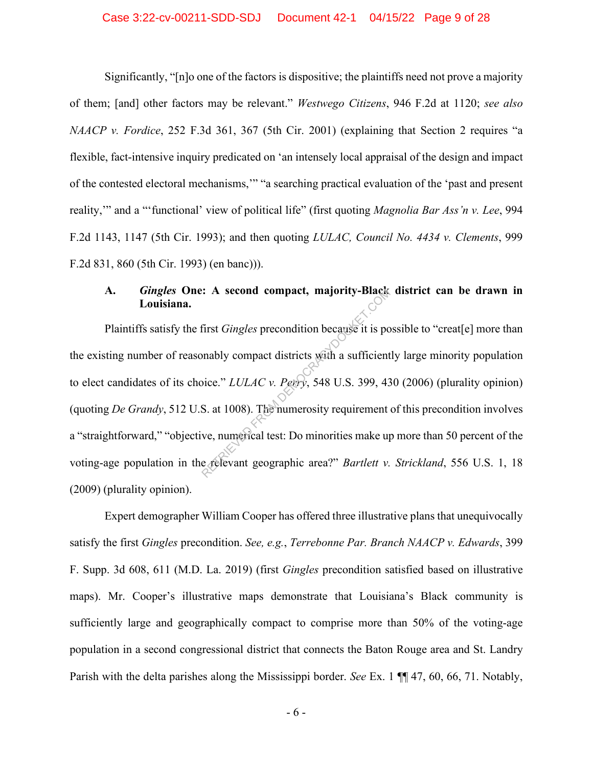### Case 3:22-cv-00211-SDD-SDJ Document 42-1 04/15/22 Page 9 of 28

Significantly, "[n]o one of the factors is dispositive; the plaintiffs need not prove a majority of them; [and] other factors may be relevant." *Westwego Citizens*, 946 F.2d at 1120; *see also NAACP v. Fordice*, 252 F.3d 361, 367 (5th Cir. 2001) (explaining that Section 2 requires "a flexible, fact-intensive inquiry predicated on 'an intensely local appraisal of the design and impact of the contested electoral mechanisms,'" "a searching practical evaluation of the 'past and present reality,'" and a "'functional' view of political life" (first quoting *Magnolia Bar Ass'n v. Lee*, 994 F.2d 1143, 1147 (5th Cir. 1993); and then quoting *LULAC, Council No. 4434 v. Clements*, 999 F.2d 831, 860 (5th Cir. 1993) (en banc))).

## **A.** *Gingles* **One: A second compact, majority-Black district can be drawn in Louisiana.**

Plaintiffs satisfy the first *Gingles* precondition because it is possible to "creat[e] more than the existing number of reasonably compact districts with a sufficiently large minority population to elect candidates of its choice." *LULAC v. Perry*, 548 U.S. 399, 430 (2006) (plurality opinion) (quoting *De Grandy*, 512 U.S. at 1008). The numerosity requirement of this precondition involves a "straightforward," "objective, numerical test: Do minorities make up more than 50 percent of the voting-age population in the relevant geographic area?" *Bartlett v. Strickland*, 556 U.S. 1, 18 (2009) (plurality opinion). RETRIEVED FROM DEATH THAT A Second compact, majority-Black<br>
First *Gingles* precondition because it is po<br>
binably compact districts with a sufficient<br>
bice." *LULAC* v. Perry, 548 U.S. 399, 43<br>
S. at 1008). The numerosit

Expert demographer William Cooper has offered three illustrative plans that unequivocally satisfy the first *Gingles* precondition. *See, e.g.*, *Terrebonne Par. Branch NAACP v. Edwards*, 399 F. Supp. 3d 608, 611 (M.D. La. 2019) (first *Gingles* precondition satisfied based on illustrative maps). Mr. Cooper's illustrative maps demonstrate that Louisiana's Black community is sufficiently large and geographically compact to comprise more than 50% of the voting-age population in a second congressional district that connects the Baton Rouge area and St. Landry Parish with the delta parishes along the Mississippi border. *See* Ex. 1 ¶¶ 47, 60, 66, 71. Notably,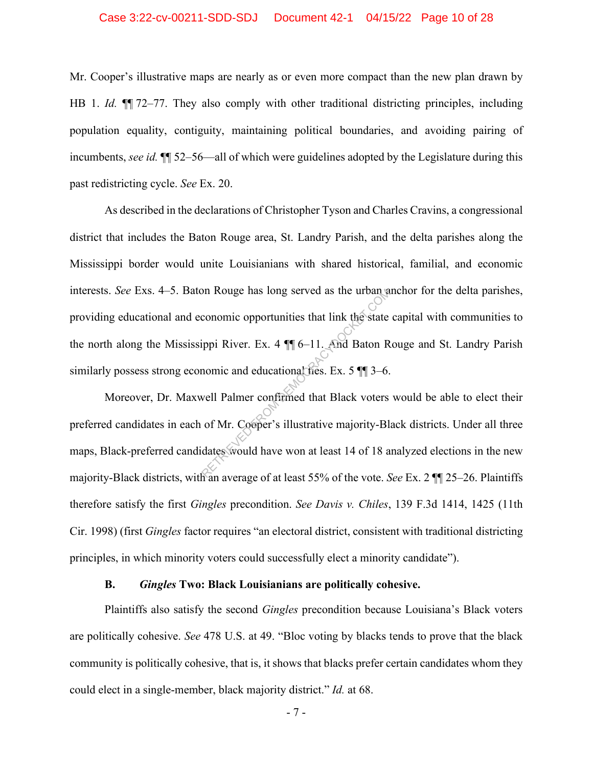### Case 3:22-cv-00211-SDD-SDJ Document 42-1 04/15/22 Page 10 of 28

Mr. Cooper's illustrative maps are nearly as or even more compact than the new plan drawn by HB 1. *Id.*  $\P$  72–77. They also comply with other traditional districting principles, including population equality, contiguity, maintaining political boundaries, and avoiding pairing of incumbents, *see id.* ¶¶ 52–56—all of which were guidelines adopted by the Legislature during this past redistricting cycle. *See* Ex. 20.

As described in the declarations of Christopher Tyson and Charles Cravins, a congressional district that includes the Baton Rouge area, St. Landry Parish, and the delta parishes along the Mississippi border would unite Louisianians with shared historical, familial, and economic interests. *See* Exs. 4–5. Baton Rouge has long served as the urban anchor for the delta parishes, providing educational and economic opportunities that link the state capital with communities to the north along the Mississippi River. Ex. 4 ¶¶ 6–11. And Baton Rouge and St. Landry Parish similarly possess strong economic and educational ties. Ex. 5  $\P$  3–6. on Rouge has long served as the urban a<br>conomic opportunities that link the state<br>ippi River. Ex. 4  $\P$  6-11. And Baton R<br>nomic and educational fies. Ex. 5  $\P$   $\overline{\phantom{a}}$  3-6.<br>well Palmer confirmed that Black voters<br>of M

Moreover, Dr. Maxwell Palmer confirmed that Black voters would be able to elect their preferred candidates in each of Mr. Cooper's illustrative majority-Black districts. Under all three maps, Black-preferred candidates would have won at least 14 of 18 analyzed elections in the new majority-Black districts, with an average of at least 55% of the vote. *See* Ex. 2 ¶¶ 25–26. Plaintiffs therefore satisfy the first *Gingles* precondition. *See Davis v. Chiles*, 139 F.3d 1414, 1425 (11th Cir. 1998) (first *Gingles* factor requires "an electoral district, consistent with traditional districting principles, in which minority voters could successfully elect a minority candidate").

### **B.** *Gingles* **Two: Black Louisianians are politically cohesive.**

Plaintiffs also satisfy the second *Gingles* precondition because Louisiana's Black voters are politically cohesive. *See* 478 U.S. at 49. "Bloc voting by blacks tends to prove that the black community is politically cohesive, that is, it shows that blacks prefer certain candidates whom they could elect in a single-member, black majority district." *Id.* at 68.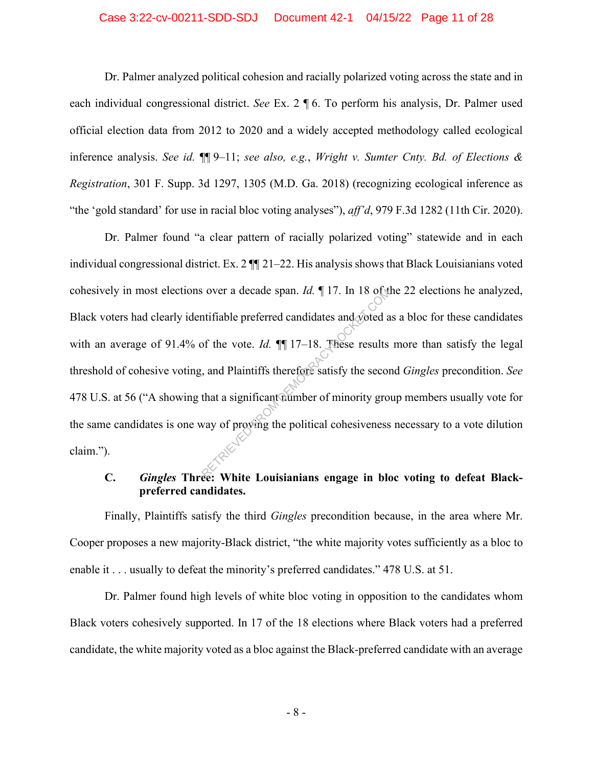### Case 3:22-cv-00211-SDD-SDJ Document 42-1 04/15/22 Page 11 of 28

Dr. Palmer analyzed political cohesion and racially polarized voting across the state and in each individual congressional district. *See* Ex. 2 ¶ 6. To perform his analysis, Dr. Palmer used official election data from 2012 to 2020 and a widely accepted methodology called ecological inference analysis. *See id.* ¶¶ 9–11; *see also, e.g.*, *Wright v. Sumter Cnty. Bd. of Elections & Registration*, 301 F. Supp. 3d 1297, 1305 (M.D. Ga. 2018) (recognizing ecological inference as "the 'gold standard' for use in racial bloc voting analyses"), *aff'd*, 979 F.3d 1282 (11th Cir. 2020).

Dr. Palmer found "a clear pattern of racially polarized voting" statewide and in each individual congressional district. Ex. 2 ¶¶ 21–22. His analysis shows that Black Louisianians voted cohesively in most elections over a decade span. *Id.* ¶ 17. In 18 of the 22 elections he analyzed, Black voters had clearly identifiable preferred candidates and voted as a bloc for these candidates with an average of 91.4% of the vote. *Id.*  $\P$  17–18. These results more than satisfy the legal threshold of cohesive voting, and Plaintiffs therefore satisfy the second *Gingles* precondition. *See* 478 U.S. at 56 ("A showing that a significant number of minority group members usually vote for the same candidates is one way of proving the political cohesiveness necessary to a vote dilution claim."). Responsible preferred candidates and systed as<br>of the vote. Id.  $\P$  17–18. These results<br>and Plaintiffs therefore satisfy the second<br>that a significant number of minority grows<br>way of proving the political cohesiveness

## **C.** *Gingles* **Three: White Louisianians engage in bloc voting to defeat Blackpreferred candidates.**

Finally, Plaintiffs satisfy the third *Gingles* precondition because, in the area where Mr. Cooper proposes a new majority-Black district, "the white majority votes sufficiently as a bloc to enable it . . . usually to defeat the minority's preferred candidates." 478 U.S. at 51.

Dr. Palmer found high levels of white bloc voting in opposition to the candidates whom Black voters cohesively supported. In 17 of the 18 elections where Black voters had a preferred candidate, the white majority voted as a bloc against the Black-preferred candidate with an average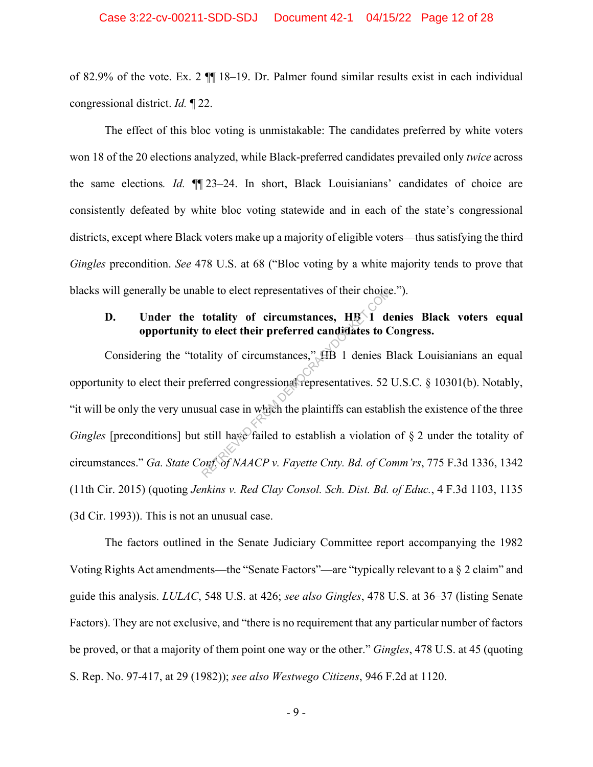of 82.9% of the vote. Ex. 2 ¶¶ 18–19. Dr. Palmer found similar results exist in each individual congressional district. *Id.* ¶ 22.

The effect of this bloc voting is unmistakable: The candidates preferred by white voters won 18 of the 20 elections analyzed, while Black-preferred candidates prevailed only *twice* across the same elections*. Id.* ¶¶ 23–24. In short, Black Louisianians' candidates of choice are consistently defeated by white bloc voting statewide and in each of the state's congressional districts, except where Black voters make up a majority of eligible voters—thus satisfying the third *Gingles* precondition. *See* 478 U.S. at 68 ("Bloc voting by a white majority tends to prove that blacks will generally be unable to elect representatives of their choice.").

## **D.** Under the totality of circumstances,  $H\mathbb{B}\setminus\overline{1}$  denies Black voters equal **opportunity to elect their preferred candidates to Congress.**

Considering the "totality of circumstances," HB 1 denies Black Louisianians an equal opportunity to elect their preferred congressional representatives. 52 U.S.C. § 10301(b). Notably, "it will be only the very unusual case in which the plaintiffs can establish the existence of the three *Gingles* [preconditions] but still have failed to establish a violation of § 2 under the totality of circumstances." *Ga. State Conf. of NAACP v. Fayette Cnty. Bd. of Comm'rs*, 775 F.3d 1336, 1342 (11th Cir. 2015) (quoting *Jenkins v. Red Clay Consol. Sch. Dist. Bd. of Educ.*, 4 F.3d 1103, 1135 (3d Cir. 1993)). This is not an unusual case. ble to elect representatives of their choice<br>
totality of circumstances, HB 1 de<br>
do elect their preferred candidates to C<br>
cality of circumstances," HB 1 denies E<br>
eferred congressions representatives. 52<br>
sual case in wh

The factors outlined in the Senate Judiciary Committee report accompanying the 1982 Voting Rights Act amendments—the "Senate Factors"—are "typically relevant to a § 2 claim" and guide this analysis. *LULAC*, 548 U.S. at 426; *see also Gingles*, 478 U.S. at 36–37 (listing Senate Factors). They are not exclusive, and "there is no requirement that any particular number of factors be proved, or that a majority of them point one way or the other." *Gingles*, 478 U.S. at 45 (quoting S. Rep. No. 97-417, at 29 (1982)); *see also Westwego Citizens*, 946 F.2d at 1120.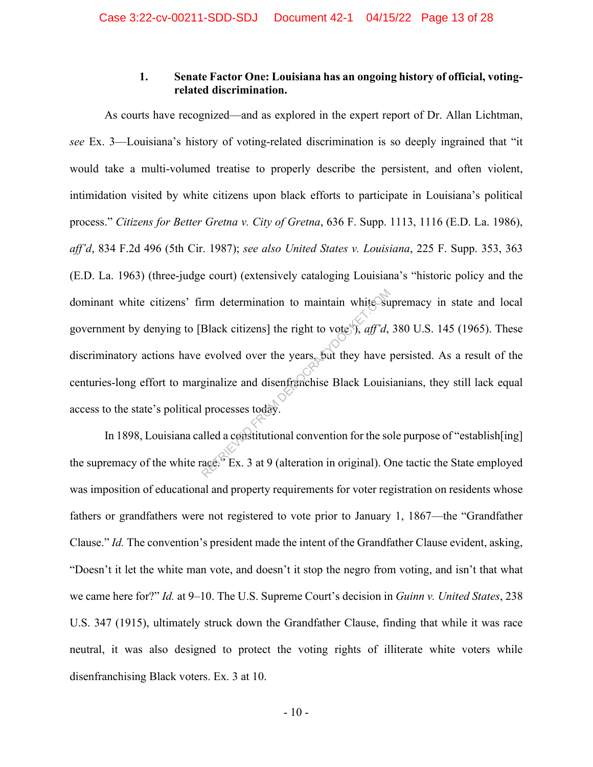## **1. Senate Factor One: Louisiana has an ongoing history of official, votingrelated discrimination.**

As courts have recognized—and as explored in the expert report of Dr. Allan Lichtman, *see* Ex. 3—Louisiana's history of voting-related discrimination is so deeply ingrained that "it would take a multi-volumed treatise to properly describe the persistent, and often violent, intimidation visited by white citizens upon black efforts to participate in Louisiana's political process." *Citizens for Better Gretna v. City of Gretna*, 636 F. Supp. 1113, 1116 (E.D. La. 1986), *aff'd*, 834 F.2d 496 (5th Cir. 1987); *see also United States v. Louisiana*, 225 F. Supp. 353, 363 (E.D. La. 1963) (three-judge court) (extensively cataloging Louisiana's "historic policy and the dominant white citizens' firm determination to maintain white supremacy in state and local government by denying to [Black citizens] the right to vote<sup> $\frac{1}{2}$ </sup>, *aff'd*, 380 U.S. 145 (1965). These discriminatory actions have evolved over the years, but they have persisted. As a result of the centuries-long effort to marginalize and disenfranchise Black Louisianians, they still lack equal access to the state's political processes today. rm determination to maintain white su<br>Black citizens] the right to vote  $\hat{f}$ , *aff'd*,<br>evolved over the years, but they have<br>ginalize and disenfranchise Black Louis<br>processes today.<br>alled a constitutional convention fo

In 1898, Louisiana called a constitutional convention for the sole purpose of "establish[ing] the supremacy of the white race." Ex. 3 at 9 (alteration in original). One tactic the State employed was imposition of educational and property requirements for voter registration on residents whose fathers or grandfathers were not registered to vote prior to January 1, 1867—the "Grandfather Clause." *Id.* The convention's president made the intent of the Grandfather Clause evident, asking, "Doesn't it let the white man vote, and doesn't it stop the negro from voting, and isn't that what we came here for?" *Id.* at 9–10. The U.S. Supreme Court's decision in *Guinn v. United States*, 238 U.S. 347 (1915), ultimately struck down the Grandfather Clause, finding that while it was race neutral, it was also designed to protect the voting rights of illiterate white voters while disenfranchising Black voters. Ex. 3 at 10.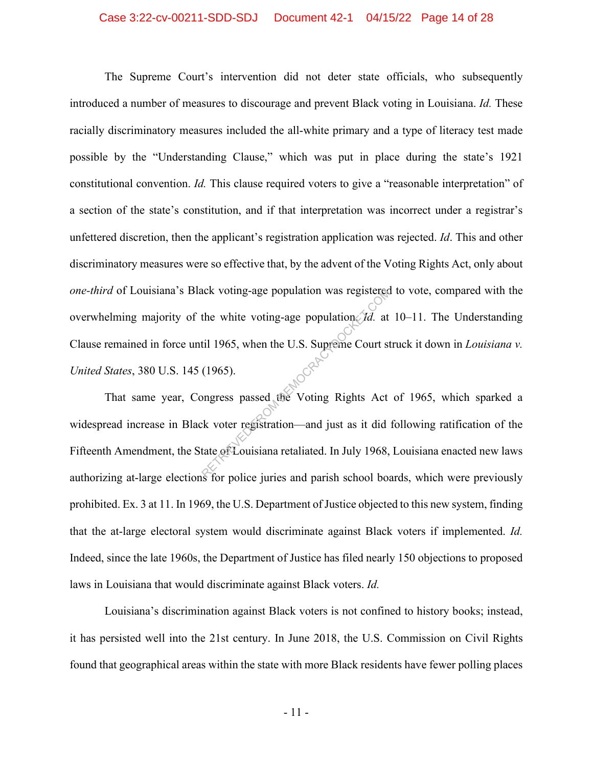### Case 3:22-cv-00211-SDD-SDJ Document 42-1 04/15/22 Page 14 of 28

The Supreme Court's intervention did not deter state officials, who subsequently introduced a number of measures to discourage and prevent Black voting in Louisiana. *Id.* These racially discriminatory measures included the all-white primary and a type of literacy test made possible by the "Understanding Clause," which was put in place during the state's 1921 constitutional convention. *Id.* This clause required voters to give a "reasonable interpretation" of a section of the state's constitution, and if that interpretation was incorrect under a registrar's unfettered discretion, then the applicant's registration application was rejected. *Id*. This and other discriminatory measures were so effective that, by the advent of the Voting Rights Act, only about *one-third* of Louisiana's Black voting-age population was registered to vote, compared with the overwhelming majority of the white voting-age population. *Id.* at 10–11. The Understanding Clause remained in force until 1965, when the U.S. Supreme Court struck it down in *Louisiana v. United States*, 380 U.S. 145 (1965). Ack voting-age population was registered<br>the white voting-age population *Id.* at<br>til 1965, when the U.S. Supreme Court st<br>(1965).<br>ongress passed the Voting Rights Act<br>k voter registration—and just as it did<br>tate of Louisi

That same year, Congress passed the Voting Rights Act of 1965, which sparked a widespread increase in Black voter registration—and just as it did following ratification of the Fifteenth Amendment, the State of Louisiana retaliated. In July 1968, Louisiana enacted new laws authorizing at-large elections for police juries and parish school boards, which were previously prohibited. Ex. 3 at 11. In 1969, the U.S. Department of Justice objected to this new system, finding that the at-large electoral system would discriminate against Black voters if implemented. *Id.* Indeed, since the late 1960s, the Department of Justice has filed nearly 150 objections to proposed laws in Louisiana that would discriminate against Black voters. *Id.*

Louisiana's discrimination against Black voters is not confined to history books; instead, it has persisted well into the 21st century. In June 2018, the U.S. Commission on Civil Rights found that geographical areas within the state with more Black residents have fewer polling places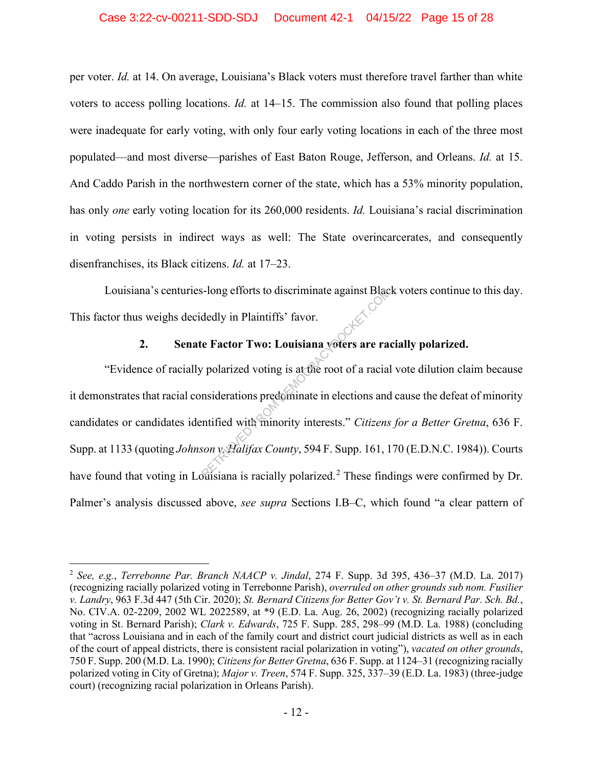### Case 3:22-cv-00211-SDD-SDJ Document 42-1 04/15/22 Page 15 of 28

per voter. *Id.* at 14. On average, Louisiana's Black voters must therefore travel farther than white voters to access polling locations. *Id.* at 14–15. The commission also found that polling places were inadequate for early voting, with only four early voting locations in each of the three most populated—and most diverse—parishes of East Baton Rouge, Jefferson, and Orleans. *Id.* at 15. And Caddo Parish in the northwestern corner of the state, which has a 53% minority population, has only *one* early voting location for its 260,000 residents. *Id.* Louisiana's racial discrimination in voting persists in indirect ways as well: The State overincarcerates, and consequently disenfranchises, its Black citizens. *Id.* at 17–23.

Louisiana's centuries-long efforts to discriminate against Black voters continue to this day. This factor thus weighs decidedly in Plaintiffs' favor.

## **2. Senate Factor Two: Louisiana voters are racially polarized.**

"Evidence of racially polarized voting is at the root of a racial vote dilution claim because it demonstrates that racial considerations predominate in elections and cause the defeat of minority candidates or candidates identified with minority interests." *Citizens for a Better Gretna*, 636 F. Supp. at 1133 (quoting *Johnson v. Halifax County*, 594 F. Supp. 161, 170 (E.D.N.C. 1984)). Courts have found that voting in Louisiana is racially polarized.<sup>2</sup> These findings were confirmed by Dr. Palmer's analysis discussed above, *see supra* Sections I.B–C, which found "a clear pattern of S-long efforts to discriminate against Black<br>
dedly in Plaintiffs' favor.<br>
The Factor Two: Louisiana voters are rad<br>
polarized voting is at the root of a racial<br>
msiderations predominate in elections and<br>
mtified with mino

<sup>2</sup> *See, e.g.*, *Terrebonne Par. Branch NAACP v. Jindal*, 274 F. Supp. 3d 395, 436–37 (M.D. La. 2017) (recognizing racially polarized voting in Terrebonne Parish), *overruled on other grounds sub nom. Fusilier v. Landry*, 963 F.3d 447 (5th Cir. 2020); *St. Bernard Citizens for Better Gov't v. St. Bernard Par. Sch. Bd.*, No. CIV.A. 02-2209, 2002 WL 2022589, at \*9 (E.D. La. Aug. 26, 2002) (recognizing racially polarized voting in St. Bernard Parish); *Clark v. Edwards*, 725 F. Supp. 285, 298–99 (M.D. La. 1988) (concluding that "across Louisiana and in each of the family court and district court judicial districts as well as in each of the court of appeal districts, there is consistent racial polarization in voting"), *vacated on other grounds*, 750 F. Supp. 200 (M.D. La. 1990); *Citizens for Better Gretna*, 636 F. Supp. at 1124–31 (recognizing racially polarized voting in City of Gretna); *Major v. Treen*, 574 F. Supp. 325, 337–39 (E.D. La. 1983) (three-judge court) (recognizing racial polarization in Orleans Parish).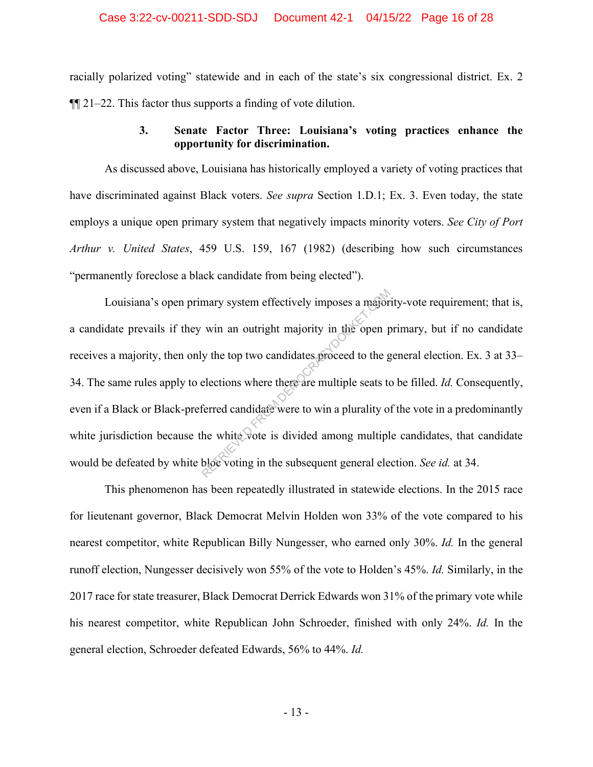### Case 3:22-cv-00211-SDD-SDJ Document 42-1 04/15/22 Page 16 of 28

racially polarized voting" statewide and in each of the state's six congressional district. Ex. 2 ¶¶ 21–22. This factor thus supports a finding of vote dilution.

## **3. Senate Factor Three: Louisiana's voting practices enhance the opportunity for discrimination.**

As discussed above, Louisiana has historically employed a variety of voting practices that have discriminated against Black voters. *See supra* Section 1.D.1; Ex. 3. Even today, the state employs a unique open primary system that negatively impacts minority voters. *See City of Port Arthur v. United States*, 459 U.S. 159, 167 (1982) (describing how such circumstances "permanently foreclose a black candidate from being elected").

Louisiana's open primary system effectively imposes a majority-vote requirement; that is, a candidate prevails if they win an outright majority in the open primary, but if no candidate receives a majority, then only the top two candidates proceed to the general election. Ex. 3 at 33– 34. The same rules apply to elections where there are multiple seats to be filled. *Id.* Consequently, even if a Black or Black-preferred candidate were to win a plurality of the vote in a predominantly white jurisdiction because the white vote is divided among multiple candidates, that candidate would be defeated by white bloc voting in the subsequent general election. *See id.* at 34. mary system effectively imposes a major<br>win an outright majority in the open p<br>y the top two candidates proceed to the g<br>elections where there are multiple seats to<br>ferred candidate were to win a plurality of<br>the white vot

This phenomenon has been repeatedly illustrated in statewide elections. In the 2015 race for lieutenant governor, Black Democrat Melvin Holden won 33% of the vote compared to his nearest competitor, white Republican Billy Nungesser, who earned only 30%. *Id.* In the general runoff election, Nungesser decisively won 55% of the vote to Holden's 45%. *Id.* Similarly, in the 2017 race for state treasurer, Black Democrat Derrick Edwards won 31% of the primary vote while his nearest competitor, white Republican John Schroeder, finished with only 24%. *Id.* In the general election, Schroeder defeated Edwards, 56% to 44%. *Id.*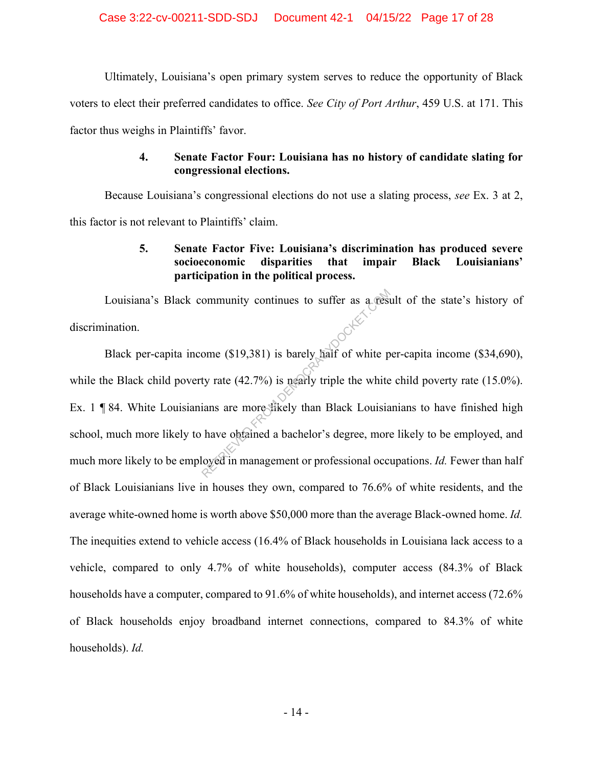Ultimately, Louisiana's open primary system serves to reduce the opportunity of Black voters to elect their preferred candidates to office. *See City of Port Arthur*, 459 U.S. at 171. This factor thus weighs in Plaintiffs' favor.

## **4. Senate Factor Four: Louisiana has no history of candidate slating for congressional elections.**

Because Louisiana's congressional elections do not use a slating process, *see* Ex. 3 at 2, this factor is not relevant to Plaintiffs' claim.

# **5. Senate Factor Five: Louisiana's discrimination has produced severe socioeconomic disparities that impair Black Louisianians' participation in the political process.**

Louisiana's Black community continues to suffer as a result of the state's history of discrimination.

Black per-capita income (\$19,381) is barely half of white per-capita income (\$34,690), while the Black child poverty rate (42.7%) is nearly triple the white child poverty rate (15.0%). Ex. 1 ¶ 84. White Louisianians are more likely than Black Louisianians to have finished high school, much more likely to have obtained a bachelor's degree, more likely to be employed, and much more likely to be employed in management or professional occupations. *Id.* Fewer than half of Black Louisianians live in houses they own, compared to 76.6% of white residents, and the average white-owned home is worth above \$50,000 more than the average Black-owned home. *Id.* The inequities extend to vehicle access (16.4% of Black households in Louisiana lack access to a vehicle, compared to only 4.7% of white households), computer access (84.3% of Black households have a computer, compared to 91.6% of white households), and internet access (72.6% of Black households enjoy broadband internet connections, compared to 84.3% of white households). *Id.* ommunity continues to suffer as a resident<br>ome (\$19,381) is barely half of white p<br>ty rate (42.7%) is nearly triple the white<br>ians are more stikely than Black Louisia<br>have obtained a bachelor's degree, more<br>loyed in manage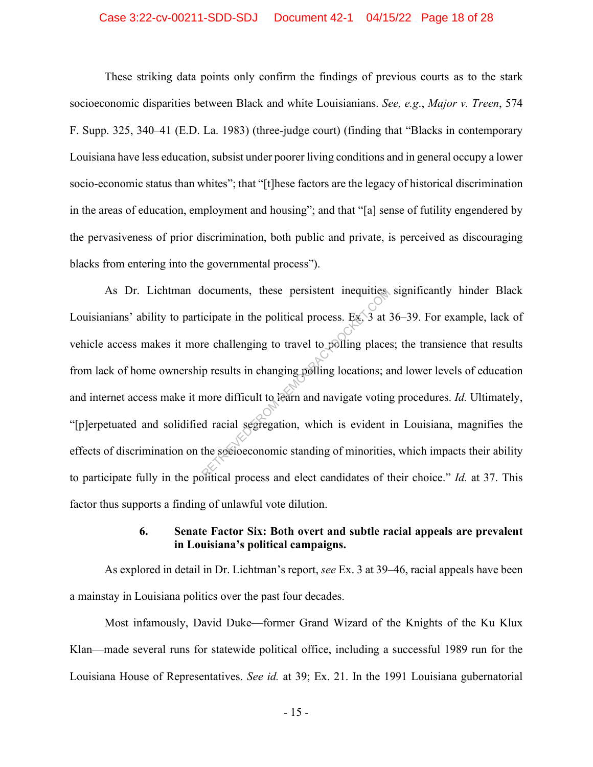### Case 3:22-cv-00211-SDD-SDJ Document 42-1 04/15/22 Page 18 of 28

These striking data points only confirm the findings of previous courts as to the stark socioeconomic disparities between Black and white Louisianians. *See, e.g*., *Major v. Treen*, 574 F. Supp. 325, 340–41 (E.D. La. 1983) (three-judge court) (finding that "Blacks in contemporary Louisiana have less education, subsist under poorer living conditions and in general occupy a lower socio-economic status than whites"; that "[t]hese factors are the legacy of historical discrimination in the areas of education, employment and housing"; and that "[a] sense of futility engendered by the pervasiveness of prior discrimination, both public and private, is perceived as discouraging blacks from entering into the governmental process").

As Dr. Lichtman documents, these persistent inequities significantly hinder Black Louisianians' ability to participate in the political process. Ex. 3 at 36–39. For example, lack of vehicle access makes it more challenging to travel to polling places; the transience that results from lack of home ownership results in changing polling locations; and lower levels of education and internet access make it more difficult to learn and navigate voting procedures. *Id.* Ultimately, "[p]erpetuated and solidified racial segregation, which is evident in Louisiana, magnifies the effects of discrimination on the socioeconomic standing of minorities, which impacts their ability to participate fully in the political process and elect candidates of their choice." *Id.* at 37. This factor thus supports a finding of unlawful vote dilution. Nocuments, these persistent inequities<br>icipate in the political process. Ex. 3 at 3<br>re challenging to travel to polling place:<br>p results in changing polling locations; a<br>more difficult to fearn and navigate voting<br>d racial

## **6. Senate Factor Six: Both overt and subtle racial appeals are prevalent in Louisiana's political campaigns.**

As explored in detail in Dr. Lichtman's report, *see* Ex. 3 at 39–46, racial appeals have been a mainstay in Louisiana politics over the past four decades.

Most infamously, David Duke—former Grand Wizard of the Knights of the Ku Klux Klan—made several runs for statewide political office, including a successful 1989 run for the Louisiana House of Representatives. *See id.* at 39; Ex. 21. In the 1991 Louisiana gubernatorial

- 15 -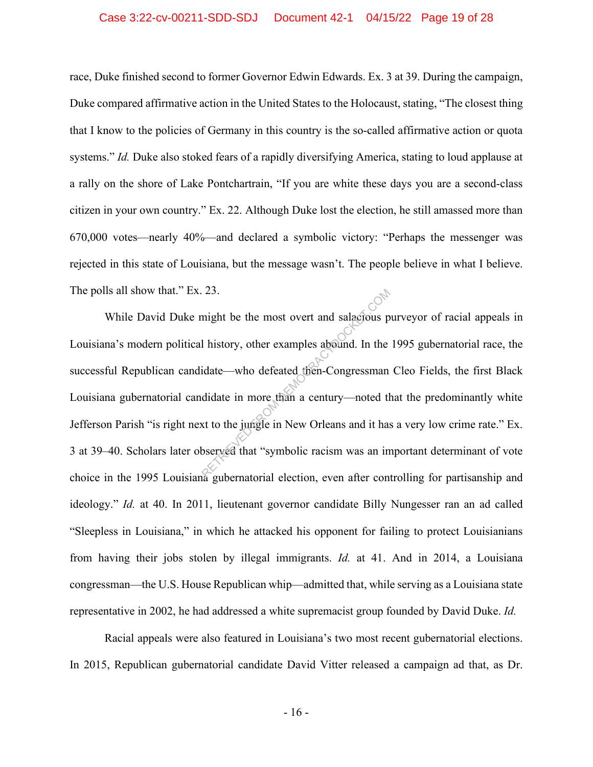### Case 3:22-cv-00211-SDD-SDJ Document 42-1 04/15/22 Page 19 of 28

race, Duke finished second to former Governor Edwin Edwards. Ex. 3 at 39. During the campaign, Duke compared affirmative action in the United States to the Holocaust, stating, "The closest thing that I know to the policies of Germany in this country is the so-called affirmative action or quota systems." *Id.* Duke also stoked fears of a rapidly diversifying America, stating to loud applause at a rally on the shore of Lake Pontchartrain, "If you are white these days you are a second-class citizen in your own country." Ex. 22. Although Duke lost the election, he still amassed more than 670,000 votes—nearly 40%—and declared a symbolic victory: "Perhaps the messenger was rejected in this state of Louisiana, but the message wasn't. The people believe in what I believe. The polls all show that." Ex. 23.

While David Duke might be the most overt and salacious purveyor of racial appeals in Louisiana's modern political history, other examples abound. In the 1995 gubernatorial race, the successful Republican candidate—who defeated then-Congressman Cleo Fields, the first Black Louisiana gubernatorial candidate in more than a century—noted that the predominantly white Jefferson Parish "is right next to the jungle in New Orleans and it has a very low crime rate." Ex. 3 at 39–40. Scholars later observed that "symbolic racism was an important determinant of vote choice in the 1995 Louisiana gubernatorial election, even after controlling for partisanship and ideology." *Id.* at 40. In 2011, lieutenant governor candidate Billy Nungesser ran an ad called "Sleepless in Louisiana," in which he attacked his opponent for failing to protect Louisianians from having their jobs stolen by illegal immigrants. *Id.* at 41. And in 2014, a Louisiana congressman—the U.S. House Republican whip—admitted that, while serving as a Louisiana state representative in 2002, he had addressed a white supremacist group founded by David Duke. *Id.* The most overt and salactious p<br>
I history, other examples abound. In the<br>
idate—who defeated then-Congressman<br>
didate in more than a century—noted the<br>
set to the jungle in New Orleans and it has<br>
bserved that "symbolic r

Racial appeals were also featured in Louisiana's two most recent gubernatorial elections. In 2015, Republican gubernatorial candidate David Vitter released a campaign ad that, as Dr.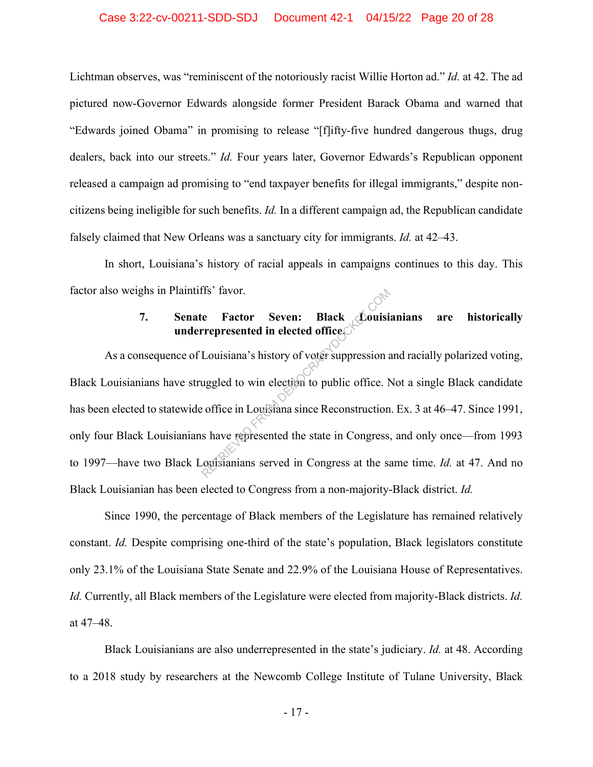### Case 3:22-cv-00211-SDD-SDJ Document 42-1 04/15/22 Page 20 of 28

Lichtman observes, was "reminiscent of the notoriously racist Willie Horton ad." *Id.* at 42. The ad pictured now-Governor Edwards alongside former President Barack Obama and warned that "Edwards joined Obama" in promising to release "[f]ifty-five hundred dangerous thugs, drug dealers, back into our streets." *Id.* Four years later, Governor Edwards's Republican opponent released a campaign ad promising to "end taxpayer benefits for illegal immigrants," despite noncitizens being ineligible for such benefits. *Id.* In a different campaign ad, the Republican candidate falsely claimed that New Orleans was a sanctuary city for immigrants. *Id.* at 42–43.

In short, Louisiana's history of racial appeals in campaigns continues to this day. This factor also weighs in Plaintiffs' favor.

# **7. Senate Factor Seven: Black Louisianians are historically underrepresented in elected office.**

As a consequence of Louisiana's history of voter suppression and racially polarized voting, Black Louisianians have struggled to win election to public office. Not a single Black candidate has been elected to statewide office in Louisiana since Reconstruction. Ex. 3 at 46–47. Since 1991, only four Black Louisianians have represented the state in Congress, and only once—from 1993 to 1997—have two Black Louisianians served in Congress at the same time. *Id.* at 47. And no Black Louisianian has been elected to Congress from a non-majority-Black district. *Id.* represented in elected office<br>
Louisiana's history of voter suppression a<br>
uggled to win election to public office. Note<br>
office in Louisiana since Reconstruction<br>
s have represented the state in Congress<br>
constantians ser

Since 1990, the percentage of Black members of the Legislature has remained relatively constant. *Id.* Despite comprising one-third of the state's population, Black legislators constitute only 23.1% of the Louisiana State Senate and 22.9% of the Louisiana House of Representatives. *Id.* Currently, all Black members of the Legislature were elected from majority-Black districts. *Id.* at 47–48.

Black Louisianians are also underrepresented in the state's judiciary. *Id.* at 48. According to a 2018 study by researchers at the Newcomb College Institute of Tulane University, Black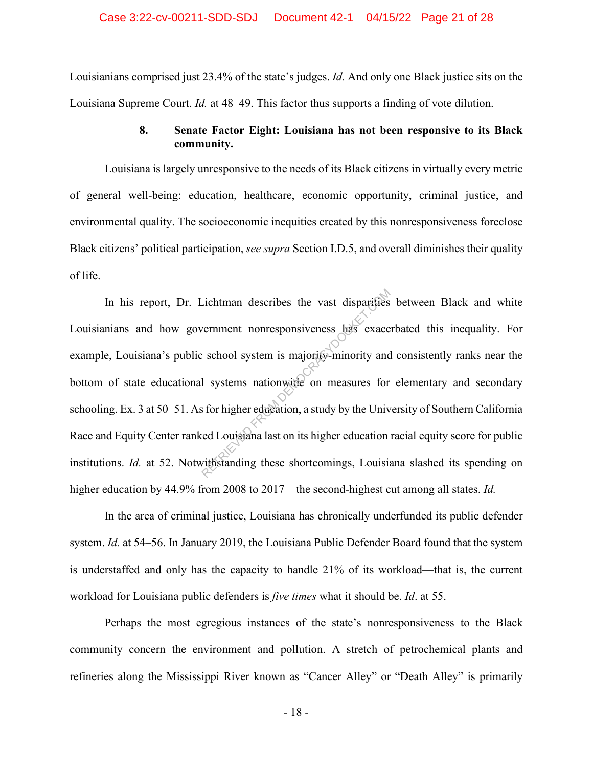Louisianians comprised just 23.4% of the state's judges. *Id.* And only one Black justice sits on the Louisiana Supreme Court. *Id.* at 48–49. This factor thus supports a finding of vote dilution.

## **8. Senate Factor Eight: Louisiana has not been responsive to its Black community.**

Louisiana is largely unresponsive to the needs of its Black citizens in virtually every metric of general well-being: education, healthcare, economic opportunity, criminal justice, and environmental quality. The socioeconomic inequities created by this nonresponsiveness foreclose Black citizens' political participation, *see supra* Section I.D.5, and overall diminishes their quality of life.

In his report, Dr. Lichtman describes the vast disparities between Black and white Louisianians and how government nonresponsiveness has exacerbated this inequality. For example, Louisiana's public school system is majority-minority and consistently ranks near the bottom of state educational systems nationwide on measures for elementary and secondary schooling. Ex. 3 at 50–51. As for higher education, a study by the University of Southern California Race and Equity Center ranked Louisiana last on its higher education racial equity score for public institutions. *Id.* at 52. Notwithstanding these shortcomings, Louisiana slashed its spending on higher education by 44.9% from 2008 to 2017—the second-highest cut among all states. *Id.* Continued also are vast disparifies<br>
Returnment nonresponsiveness has exace<br>
exace<br>
exace<br>
composition is majority-minority and<br>
l systems nationwide on measures for<br>
s for higher education, a study by the Univ<br>
d Louisian

In the area of criminal justice, Louisiana has chronically underfunded its public defender system. *Id.* at 54–56. In January 2019, the Louisiana Public Defender Board found that the system is understaffed and only has the capacity to handle 21% of its workload—that is, the current workload for Louisiana public defenders is *five times* what it should be. *Id*. at 55.

Perhaps the most egregious instances of the state's nonresponsiveness to the Black community concern the environment and pollution. A stretch of petrochemical plants and refineries along the Mississippi River known as "Cancer Alley" or "Death Alley" is primarily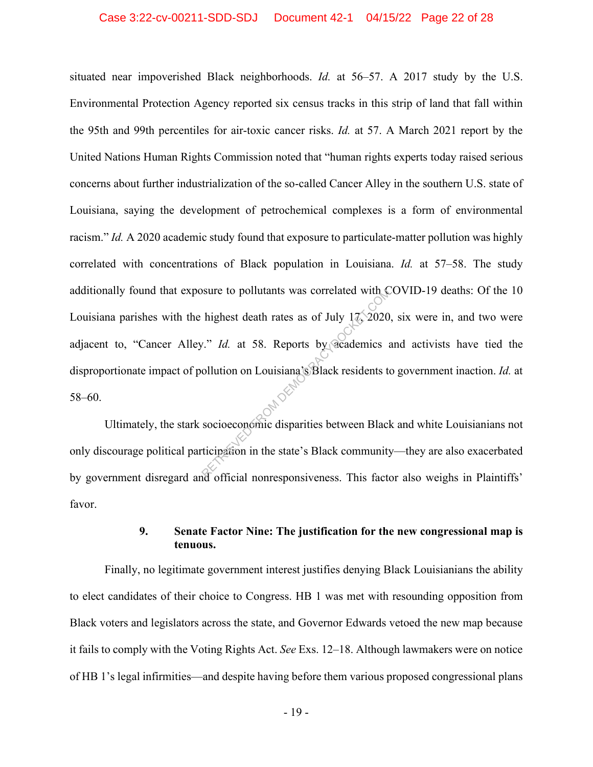### Case 3:22-cv-00211-SDD-SDJ Document 42-1 04/15/22 Page 22 of 28

situated near impoverished Black neighborhoods. *Id.* at 56–57. A 2017 study by the U.S. Environmental Protection Agency reported six census tracks in this strip of land that fall within the 95th and 99th percentiles for air-toxic cancer risks. *Id.* at 57. A March 2021 report by the United Nations Human Rights Commission noted that "human rights experts today raised serious concerns about further industrialization of the so-called Cancer Alley in the southern U.S. state of Louisiana, saying the development of petrochemical complexes is a form of environmental racism." *Id.* A 2020 academic study found that exposure to particulate-matter pollution was highly correlated with concentrations of Black population in Louisiana. *Id.* at 57–58. The study additionally found that exposure to pollutants was correlated with COVID-19 deaths: Of the 10 Louisiana parishes with the highest death rates as of July  $17, 2020$ , six were in, and two were adjacent to, "Cancer Alley." *Id.* at 58. Reports by academics and activists have tied the disproportionate impact of pollution on Louisiana's Black residents to government inaction. *Id.* at 58–60. Sure to pollutants was correlated with<br>highest death rates as of July 17, 2020<br>v." Id. at 58. Reports by academics a<br>ollution on Louisiana's Black residents to<br>socioeconomic disparities between Black<br>ticipation in the stat

Ultimately, the stark socioeconomic disparities between Black and white Louisianians not only discourage political participation in the state's Black community—they are also exacerbated by government disregard and official nonresponsiveness. This factor also weighs in Plaintiffs' favor.

## **9. Senate Factor Nine: The justification for the new congressional map is tenuous.**

Finally, no legitimate government interest justifies denying Black Louisianians the ability to elect candidates of their choice to Congress. HB 1 was met with resounding opposition from Black voters and legislators across the state, and Governor Edwards vetoed the new map because it fails to comply with the Voting Rights Act. *See* Exs. 12–18. Although lawmakers were on notice of HB 1's legal infirmities—and despite having before them various proposed congressional plans

- 19 -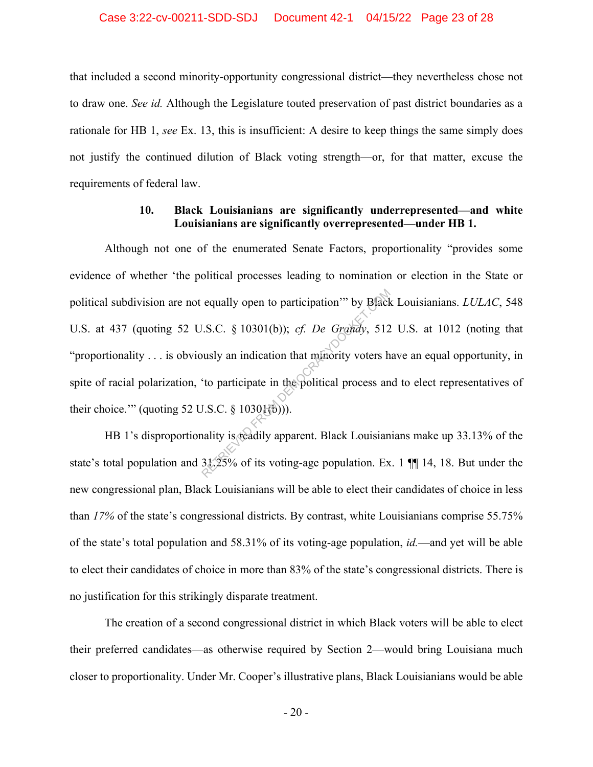that included a second minority-opportunity congressional district—they nevertheless chose not to draw one. *See id.* Although the Legislature touted preservation of past district boundaries as a rationale for HB 1, *see* Ex. 13, this is insufficient: A desire to keep things the same simply does not justify the continued dilution of Black voting strength—or, for that matter, excuse the requirements of federal law.

## **10. Black Louisianians are significantly underrepresented—and white Louisianians are significantly overrepresented—under HB 1.**

Although not one of the enumerated Senate Factors, proportionality "provides some evidence of whether 'the political processes leading to nomination or election in the State or political subdivision are not equally open to participation'" by Black Louisianians. *LULAC*, 548 U.S. at 437 (quoting 52 U.S.C. § 10301(b)); *cf. De Grandy*, 512 U.S. at 1012 (noting that "proportionality . . . is obviously an indication that minority voters have an equal opportunity, in spite of racial polarization, 'to participate in the political process and to elect representatives of their choice.'" (quoting 52 U.S.C.  $\S$  1030 $\{(\phi)\}$ ). equally open to participation" by B[ack]<br>
I.S.C. § 10301(b)); *cf. De Grandy*, 512<br>
busly an indication that minority voters h<br>
"to participate in the political process an<br>
I.S.C. § 10301(b))).<br>
hality is readily apparent

HB 1's disproportionality is readily apparent. Black Louisianians make up 33.13% of the state's total population and 31.25% of its voting-age population. Ex. 1 ¶¶ 14, 18. But under the new congressional plan, Black Louisianians will be able to elect their candidates of choice in less than *17%* of the state's congressional districts. By contrast, white Louisianians comprise 55.75% of the state's total population and 58.31% of its voting-age population, *id.*—and yet will be able to elect their candidates of choice in more than 83% of the state's congressional districts. There is no justification for this strikingly disparate treatment.

The creation of a second congressional district in which Black voters will be able to elect their preferred candidates—as otherwise required by Section 2—would bring Louisiana much closer to proportionality. Under Mr. Cooper's illustrative plans, Black Louisianians would be able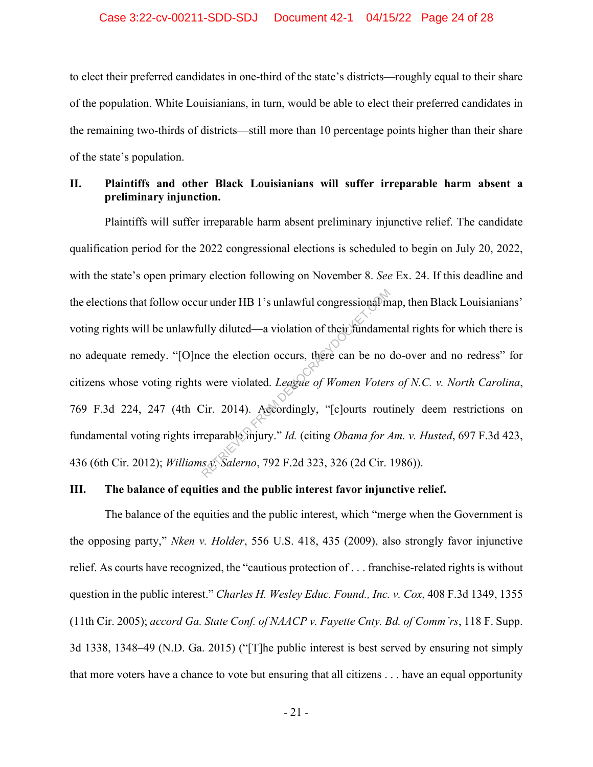#### Case 3:22-cv-00211-SDD-SDJ Document 42-1 04/15/22 Page 24 of 28

to elect their preferred candidates in one-third of the state's districts—roughly equal to their share of the population. White Louisianians, in turn, would be able to elect their preferred candidates in the remaining two-thirds of districts—still more than 10 percentage points higher than their share of the state's population.

## **II. Plaintiffs and other Black Louisianians will suffer irreparable harm absent a preliminary injunction.**

Plaintiffs will suffer irreparable harm absent preliminary injunctive relief. The candidate qualification period for the 2022 congressional elections is scheduled to begin on July 20, 2022, with the state's open primary election following on November 8. *See* Ex. 24. If this deadline and the elections that follow occur under HB 1's unlawful congressional map, then Black Louisianians' voting rights will be unlawfully diluted—a violation of their fundamental rights for which there is no adequate remedy. "[O]nce the election occurs, there can be no do-over and no redress" for citizens whose voting rights were violated. *League of Women Voters of N.C. v. North Carolina*, 769 F.3d 224, 247 (4th Cir. 2014). Accordingly, "[c]ourts routinely deem restrictions on fundamental voting rights irreparable injury." *Id.* (citing *Obama for Am. v. Husted*, 697 F.3d 423, 436 (6th Cir. 2012); *Williams v. Salerno*, 792 F.2d 323, 326 (2d Cir. 1986)). Illy diluted—a violation of their fundame<br>ce the election occurs, there can be no<br>were violated. *League of Women Voter*.<br>Cir. 2014). Accordingly, "[c]ourts rout<br>reparable mjury." *Id.* (citing *Obama for A*<br>s x. Salerno,

### **III. The balance of equities and the public interest favor injunctive relief.**

The balance of the equities and the public interest, which "merge when the Government is the opposing party," *Nken v. Holder*, 556 U.S. 418, 435 (2009), also strongly favor injunctive relief. As courts have recognized, the "cautious protection of . . . franchise-related rights is without question in the public interest." *Charles H. Wesley Educ. Found., Inc. v. Cox*, 408 F.3d 1349, 1355 (11th Cir. 2005); *accord Ga. State Conf. of NAACP v. Fayette Cnty. Bd. of Comm'rs*, 118 F. Supp. 3d 1338, 1348–49 (N.D. Ga. 2015) ("[T]he public interest is best served by ensuring not simply that more voters have a chance to vote but ensuring that all citizens . . . have an equal opportunity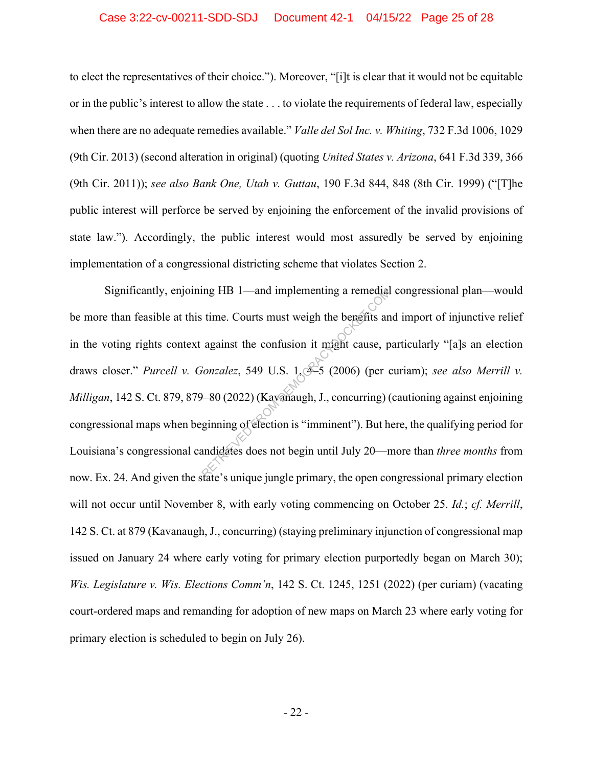### Case 3:22-cv-00211-SDD-SDJ Document 42-1 04/15/22 Page 25 of 28

to elect the representatives of their choice."). Moreover, "[i]t is clear that it would not be equitable or in the public's interest to allow the state . . . to violate the requirements of federal law, especially when there are no adequate remedies available." *Valle del Sol Inc. v. Whiting*, 732 F.3d 1006, 1029 (9th Cir. 2013) (second alteration in original) (quoting *United States v. Arizona*, 641 F.3d 339, 366 (9th Cir. 2011)); *see also Bank One, Utah v. Guttau*, 190 F.3d 844, 848 (8th Cir. 1999) ("[T]he public interest will perforce be served by enjoining the enforcement of the invalid provisions of state law."). Accordingly, the public interest would most assuredly be served by enjoining implementation of a congressional districting scheme that violates Section 2.

Significantly, enjoining HB 1—and implementing a remedial congressional plan—would be more than feasible at this time. Courts must weigh the benefits and import of injunctive relief in the voting rights context against the confusion it might cause, particularly "[a]s an election draws closer." *Purcell v. Gonzalez*, 549 U.S. 1, 4–5 (2006) (per curiam); *see also Merrill v. Milligan*, 142 S. Ct. 879, 879–80 (2022) (Kavanaugh, J., concurring) (cautioning against enjoining congressional maps when beginning of election is "imminent"). But here, the qualifying period for Louisiana's congressional candidates does not begin until July 20—more than *three months* from now. Ex. 24. And given the state's unique jungle primary, the open congressional primary election will not occur until November 8, with early voting commencing on October 25. *Id.*; *cf. Merrill*, 142 S. Ct. at 879 (Kavanaugh, J., concurring) (staying preliminary injunction of congressional map issued on January 24 where early voting for primary election purportedly began on March 30); *Wis. Legislature v. Wis. Elections Comm'n*, 142 S. Ct. 1245, 1251 (2022) (per curiam) (vacating court-ordered maps and remanding for adoption of new maps on March 23 where early voting for primary election is scheduled to begin on July 26). remediately<br>
Referred in the Courts must weigh the benefits and against the confusion it might cause, pronzalez, 549 U.S.  $1.35$  (2006) (per consider the U.S. 1, concurring) (ginning of election is "imminent"). But handle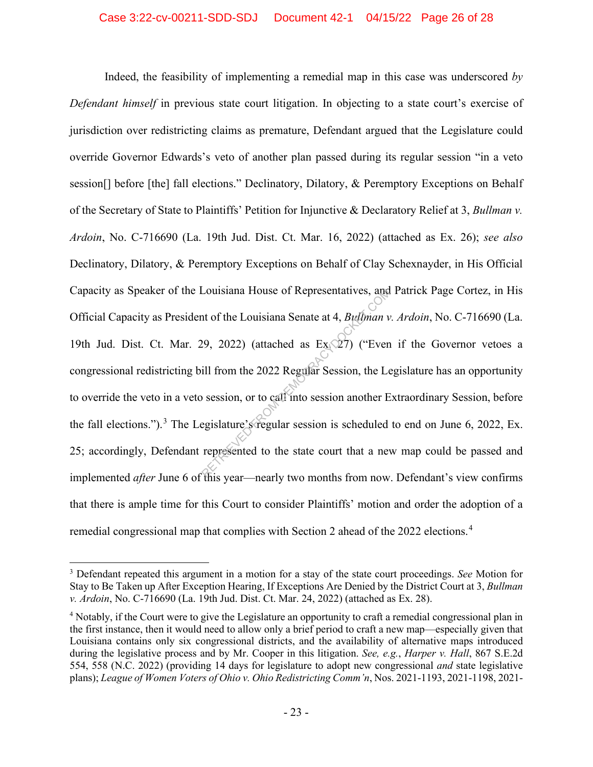Indeed, the feasibility of implementing a remedial map in this case was underscored *by Defendant himself* in previous state court litigation. In objecting to a state court's exercise of jurisdiction over redistricting claims as premature, Defendant argued that the Legislature could override Governor Edwards's veto of another plan passed during its regular session "in a veto session[] before [the] fall elections." Declinatory, Dilatory, & Peremptory Exceptions on Behalf of the Secretary of State to Plaintiffs' Petition for Injunctive & Declaratory Relief at 3, *Bullman v. Ardoin*, No. C-716690 (La. 19th Jud. Dist. Ct. Mar. 16, 2022) (attached as Ex. 26); *see also* Declinatory, Dilatory, & Peremptory Exceptions on Behalf of Clay Schexnayder, in His Official Capacity as Speaker of the Louisiana House of Representatives, and Patrick Page Cortez, in His Official Capacity as President of the Louisiana Senate at 4, *Bullman v. Ardoin*, No. C-716690 (La. 19th Jud. Dist. Ct. Mar. 29, 2022) (attached as  $Ex \& 27$ ) ("Even if the Governor vetoes a congressional redistricting bill from the 2022 Regular Session, the Legislature has an opportunity to override the veto in a veto session, or to call into session another Extraordinary Session, before the fall elections.").<sup>3</sup> The Legislature's regular session is scheduled to end on June 6, 2022, Ex. 25; accordingly, Defendant represented to the state court that a new map could be passed and implemented *after* June 6 of this year—nearly two months from now. Defendant's view confirms that there is ample time for this Court to consider Plaintiffs' motion and order the adoption of a remedial congressional map that complies with Section 2 ahead of the 2022 elections.<sup>4</sup> Louisiana House of Representatives, and<br>the tof the Louisiana Senate at 4, *Bullman v*<br> $(29, 2022)$  (attached as Ex $(27)$ ) ("Even<br>ill from the 2022 Regular Session, the Leonession, or to call into session another E<br>egisla

<sup>3</sup> Defendant repeated this argument in a motion for a stay of the state court proceedings. *See* Motion for Stay to Be Taken up After Exception Hearing, If Exceptions Are Denied by the District Court at 3, *Bullman v. Ardoin*, No. C-716690 (La. 19th Jud. Dist. Ct. Mar. 24, 2022) (attached as Ex. 28).

<sup>4</sup> Notably, if the Court were to give the Legislature an opportunity to craft a remedial congressional plan in the first instance, then it would need to allow only a brief period to craft a new map—especially given that Louisiana contains only six congressional districts, and the availability of alternative maps introduced during the legislative process and by Mr. Cooper in this litigation. *See, e.g.*, *Harper v. Hall*, 867 S.E.2d 554, 558 (N.C. 2022) (providing 14 days for legislature to adopt new congressional *and* state legislative plans); *League of Women Voters of Ohio v. Ohio Redistricting Comm'n*, Nos. 2021-1193, 2021-1198, 2021-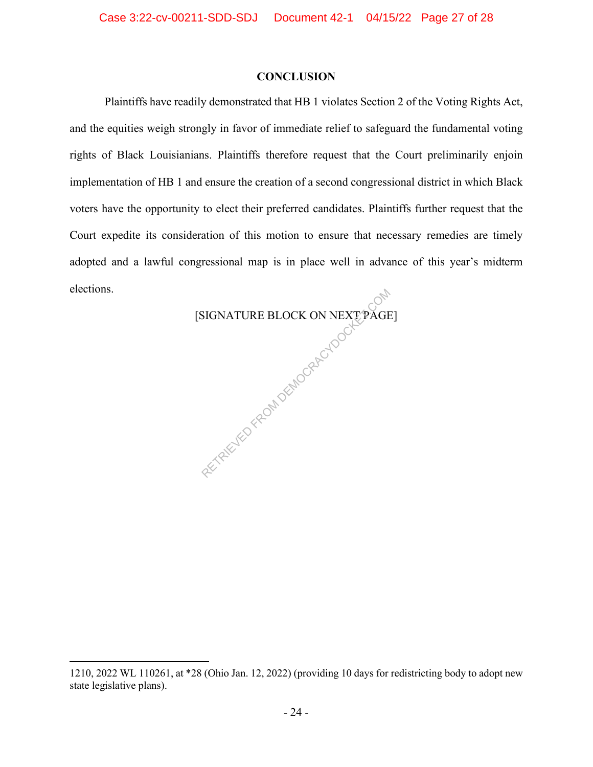### **CONCLUSION**

Plaintiffs have readily demonstrated that HB 1 violates Section 2 of the Voting Rights Act, and the equities weigh strongly in favor of immediate relief to safeguard the fundamental voting rights of Black Louisianians. Plaintiffs therefore request that the Court preliminarily enjoin implementation of HB 1 and ensure the creation of a second congressional district in which Black voters have the opportunity to elect their preferred candidates. Plaintiffs further request that the Court expedite its consideration of this motion to ensure that necessary remedies are timely adopted and a lawful congressional map is in place well in advance of this year's midterm elections.

> [SIGNATURE BLOCK ON NEXT PAGE] RETRIEVED FROM DEMOCRACYDOCKE

<sup>1210, 2022</sup> WL 110261, at \*28 (Ohio Jan. 12, 2022) (providing 10 days for redistricting body to adopt new state legislative plans).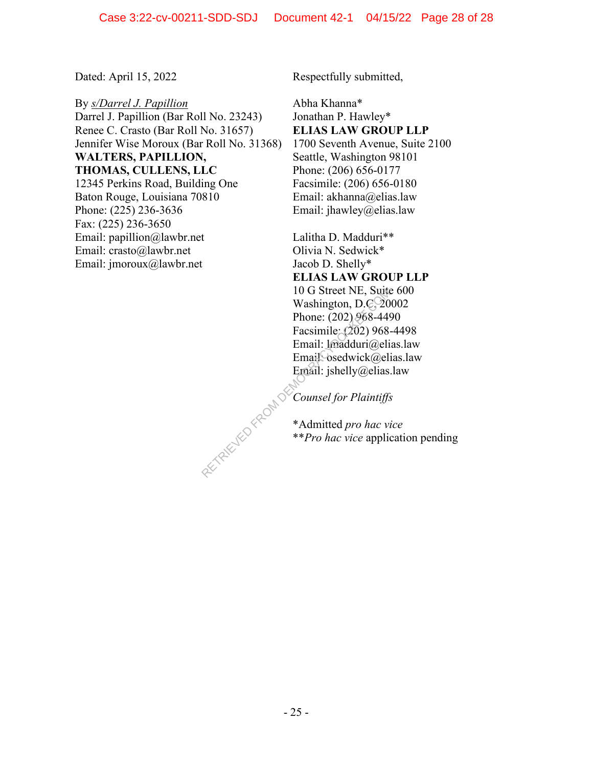By *s/Darrel J. Papillion* Darrel J. Papillion (Bar Roll No. 23243) Renee C. Crasto (Bar Roll No. 31657) Jennifer Wise Moroux (Bar Roll No. 31368) **WALTERS, PAPILLION, THOMAS, CULLENS, LLC** 12345 Perkins Road, Building One Baton Rouge, Louisiana 70810 Phone: (225) 236-3636 Fax: (225) 236-3650 Email: papillion@lawbr.net Email: crasto@lawbr.net Email: jmoroux@lawbr.net

Dated: April 15, 2022 Respectfully submitted,

Abha Khanna\* Jonathan P. Hawley\* **ELIAS LAW GROUP LLP** 1700 Seventh Avenue, Suite 2100 Seattle, Washington 98101 Phone: (206) 656-0177 Facsimile: (206) 656-0180 Email: akhanna@elias.law Email: jhawley@elias.law

Lalitha D. Madduri\*\* Olivia N. Sedwick\* Jacob D. Shelly\* **ELIAS LAW GROUP LLP** 10 G Street NE, Suite 600 Washington, D.C. 20002 Phone: (202) 968-4490 Facsimile: (202) 968-4498 Email: lmadduri@elias.law Email<sup>O</sup>sedwick@elias.law Email: jshelly@elias.law RETRIEVED FROM DE

*Counsel for Plaintiffs*

\*Admitted *pro hac vice* \*\**Pro hac vice* application pending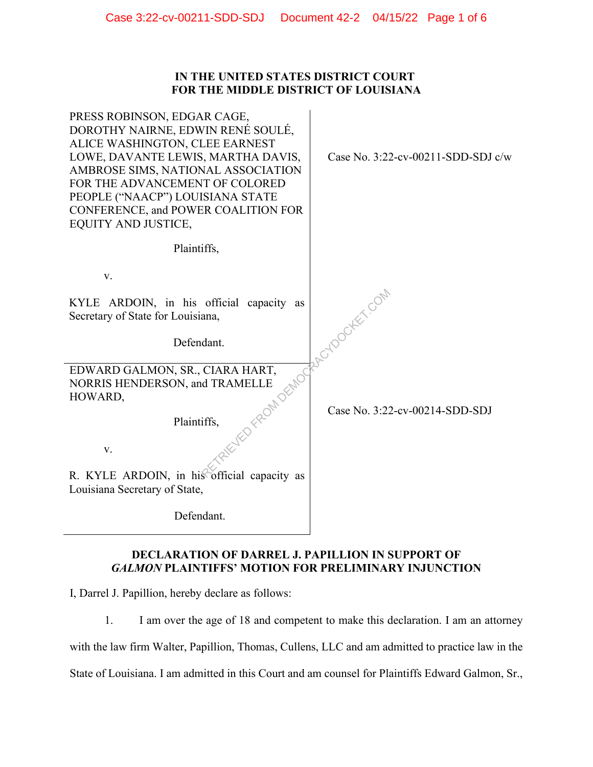## **IN THE UNITED STATES DISTRICT COURT FOR THE MIDDLE DISTRICT OF LOUISIANA**

| PRESS ROBINSON, EDGAR CAGE,<br>DOROTHY NAIRNE, EDWIN RENÉ SOULÉ,<br>ALICE WASHINGTON, CLEE EARNEST<br>LOWE, DAVANTE LEWIS, MARTHA DAVIS,<br>AMBROSE SIMS, NATIONAL ASSOCIATION<br>FOR THE ADVANCEMENT OF COLORED<br>PEOPLE ("NAACP") LOUISIANA STATE<br>CONFERENCE, and POWER COALITION FOR<br>EQUITY AND JUSTICE, | Case No. 3:22-cv-00211-SDD-SDJ c/w |
|--------------------------------------------------------------------------------------------------------------------------------------------------------------------------------------------------------------------------------------------------------------------------------------------------------------------|------------------------------------|
| Plaintiffs,                                                                                                                                                                                                                                                                                                        |                                    |
| V.                                                                                                                                                                                                                                                                                                                 |                                    |
| KYLE ARDOIN, in his official capacity as<br>Secretary of State for Louisiana,                                                                                                                                                                                                                                      | VED FROM DEMOGRAPY LOOCKEY COM     |
| Defendant.                                                                                                                                                                                                                                                                                                         |                                    |
| EDWARD GALMON, SR., CIARA HART,<br>NORRIS HENDERSON, and TRAMELLE<br>HOWARD,                                                                                                                                                                                                                                       |                                    |
| Plaintiffs,                                                                                                                                                                                                                                                                                                        | Case No. 3:22-cv-00214-SDD-SDJ     |
| V.                                                                                                                                                                                                                                                                                                                 |                                    |
| R. KYLE ARDOIN, in his official capacity as<br>Louisiana Secretary of State,                                                                                                                                                                                                                                       |                                    |
| Defendant.                                                                                                                                                                                                                                                                                                         |                                    |

# **DECLARATION OF DARREL J. PAPILLION IN SUPPORT OF** *GALMON* **PLAINTIFFS' MOTION FOR PRELIMINARY INJUNCTION**

I, Darrel J. Papillion, hereby declare as follows:

1. I am over the age of 18 and competent to make this declaration. I am an attorney with the law firm Walter, Papillion, Thomas, Cullens, LLC and am admitted to practice law in the State of Louisiana. I am admitted in this Court and am counsel for Plaintiffs Edward Galmon, Sr.,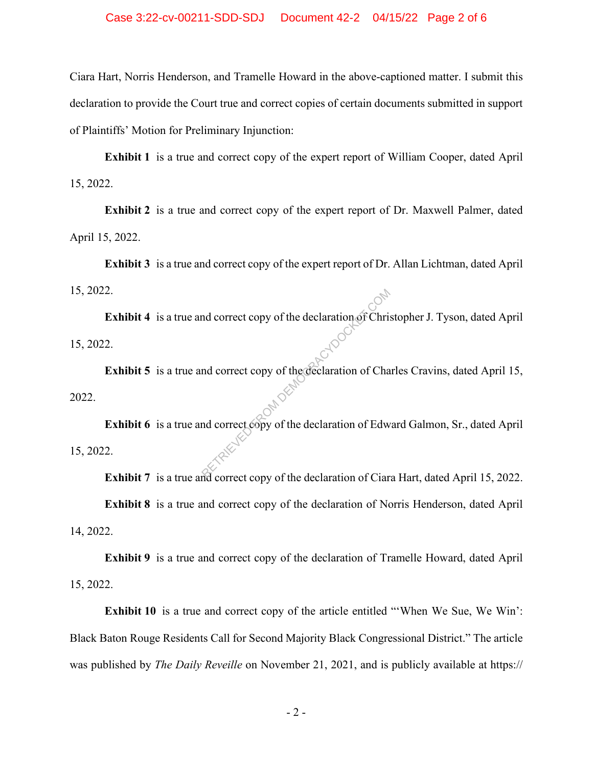Ciara Hart, Norris Henderson, and Tramelle Howard in the above-captioned matter. I submit this declaration to provide the Court true and correct copies of certain documents submitted in support of Plaintiffs' Motion for Preliminary Injunction:

**Exhibit 1** is a true and correct copy of the expert report of William Cooper, dated April 15, 2022.

**Exhibit 2** is a true and correct copy of the expert report of Dr. Maxwell Palmer, dated April 15, 2022.

**Exhibit 3** is a true and correct copy of the expert report of Dr. Allan Lichtman, dated April 15, 2022.

**Exhibit 4** is a true and correct copy of the declaration of Christopher J. Tyson, dated April 15, 2022.

**Exhibit 5** is a true and correct copy of the declaration of Charles Cravins, dated April 15, 2022.

**Exhibit 6** is a true and correct copy of the declaration of Edward Galmon, Sr., dated April 15, 2022. and correct copy of the declaration of Christian<br>
and correct copy of the declaration of Cha<br>
and correct copy of the declaration of Edward

**Exhibit 7** is a true and correct copy of the declaration of Ciara Hart, dated April 15, 2022. **Exhibit 8** is a true and correct copy of the declaration of Norris Henderson, dated April 14, 2022.

**Exhibit 9** is a true and correct copy of the declaration of Tramelle Howard, dated April 15, 2022.

**Exhibit 10** is a true and correct copy of the article entitled "When We Sue, We Win': Black Baton Rouge Residents Call for Second Majority Black Congressional District." The article was published by *The Daily Reveille* on November 21, 2021, and is publicly available at https://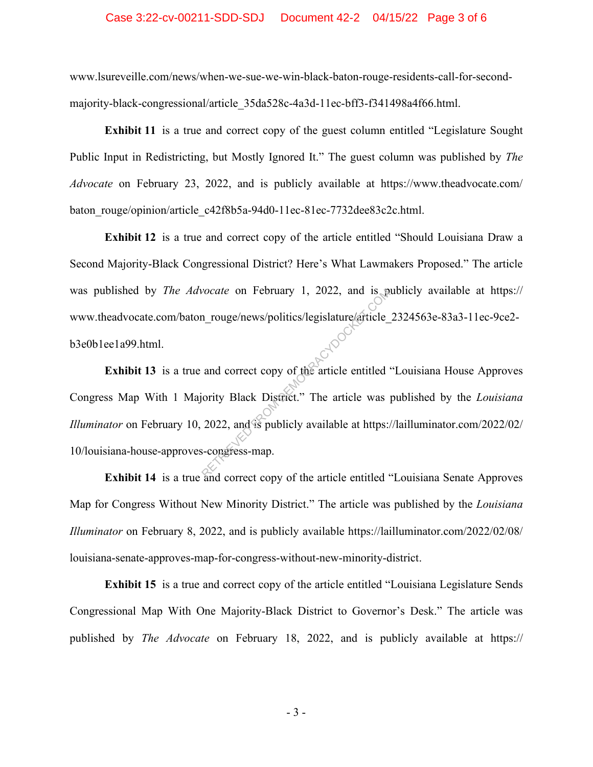#### Case 3:22-cv-00211-SDD-SDJ Document 42-2 04/15/22 Page 3 of 6

www.lsureveille.com/news/when-we-sue-we-win-black-baton-rouge-residents-call-for-secondmajority-black-congressional/article\_35da528c-4a3d-11ec-bff3-f341498a4f66.html.

**Exhibit 11** is a true and correct copy of the guest column entitled "Legislature Sought" Public Input in Redistricting, but Mostly Ignored It." The guest column was published by *The Advocate* on February 23, 2022, and is publicly available at https://www.theadvocate.com/ baton\_rouge/opinion/article\_c42f8b5a-94d0-11ec-81ec-7732dee83c2c.html.

**Exhibit 12** is a true and correct copy of the article entitled "Should Louisiana Draw a Second Majority-Black Congressional District? Here's What Lawmakers Proposed." The article was published by *The Advocate* on February 1, 2022, and is publicly available at https:// www.theadvocate.com/baton\_rouge/news/politics/legislature/article\_2324563e-83a3-11ec-9ce2b3e0b1ee1a99.html.

**Exhibit 13** is a true and correct copy of the article entitled "Louisiana House Approves Congress Map With 1 Majority Black District." The article was published by the *Louisiana Illuminator* on February 10, 2022, and is publicly available at https://lailluminator.com/2022/02/ 10/louisiana-house-approves-congress-map. vocate on February 1, 2022, and is positive and correct copy of the article entitled<br>and correct copy of the article entitled<br>ority Black District." The article was<br>2022, and is publicly available at https:<br>3-congress-map.

**Exhibit 14** is a true and correct copy of the article entitled "Louisiana Senate Approves Map for Congress Without New Minority District." The article was published by the *Louisiana Illuminator* on February 8, 2022, and is publicly available https://lailluminator.com/2022/02/08/ louisiana-senate-approves-map-for-congress-without-new-minority-district.

**Exhibit 15** is a true and correct copy of the article entitled "Louisiana Legislature Sends Congressional Map With One Majority-Black District to Governor's Desk." The article was published by *The Advocate* on February 18, 2022, and is publicly available at https://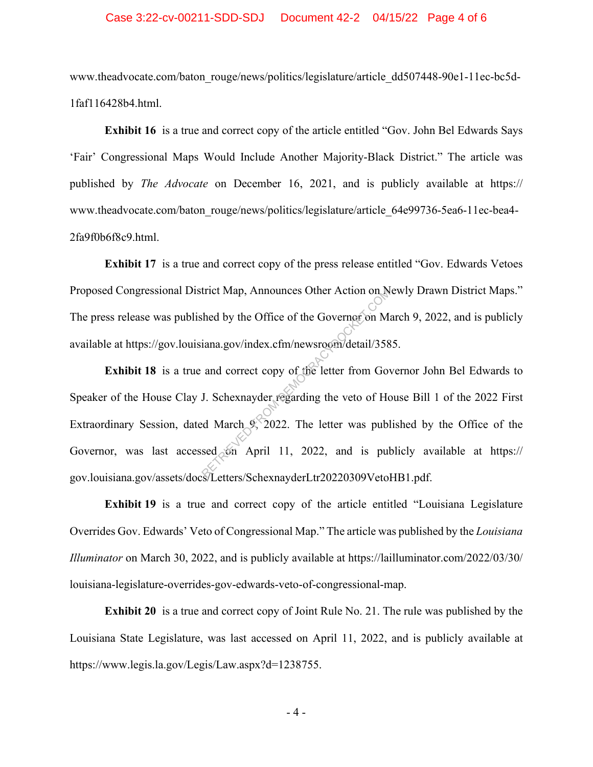### Case 3:22-cv-00211-SDD-SDJ Document 42-2 04/15/22 Page 4 of 6

www.theadvocate.com/baton\_rouge/news/politics/legislature/article\_dd507448-90e1-11ec-bc5d-1faf116428b4.html.

**Exhibit 16** is a true and correct copy of the article entitled "Gov. John Bel Edwards Says 'Fair' Congressional Maps Would Include Another Majority-Black District." The article was published by *The Advocate* on December 16, 2021, and is publicly available at https:// www.theadvocate.com/baton\_rouge/news/politics/legislature/article\_64e99736-5ea6-11ec-bea4-2fa9f0b6f8c9.html.

**Exhibit 17** is a true and correct copy of the press release entitled "Gov. Edwards Vetoes Proposed Congressional District Map, Announces Other Action on Newly Drawn District Maps." The press release was published by the Office of the Governor on March 9, 2022, and is publicly available at https://gov.louisiana.gov/index.cfm/newsroom/detail/3585.

**Exhibit 18** is a true and correct copy of the letter from Governor John Bel Edwards to Speaker of the House Clay J. Schexnayder regarding the veto of House Bill 1 of the 2022 First Extraordinary Session, dated March 9, 2022. The letter was published by the Office of the Governor, was last accessed on April 11, 2022, and is publicly available at https:// gov.louisiana.gov/assets/docs/Letters/SchexnayderLtr20220309VetoHB1.pdf. trict Map, Announces Other Action on M<br>
shed by the Office of the Governor on M<br>
iana.gov/index.cfm/newsroom/detail/358<br>
and correct copy of the letter from Governor<br>
J. Schexnayder regarding the veto of Hotel<br>
d March 9,

**Exhibit 19** is a true and correct copy of the article entitled "Louisiana Legislature Overrides Gov. Edwards' Veto of Congressional Map." The article was published by the *Louisiana Illuminator* on March 30, 2022, and is publicly available at https://lailluminator.com/2022/03/30/ louisiana-legislature-overrides-gov-edwards-veto-of-congressional-map.

**Exhibit 20** is a true and correct copy of Joint Rule No. 21. The rule was published by the Louisiana State Legislature, was last accessed on April 11, 2022, and is publicly available at https://www.legis.la.gov/Legis/Law.aspx?d=1238755.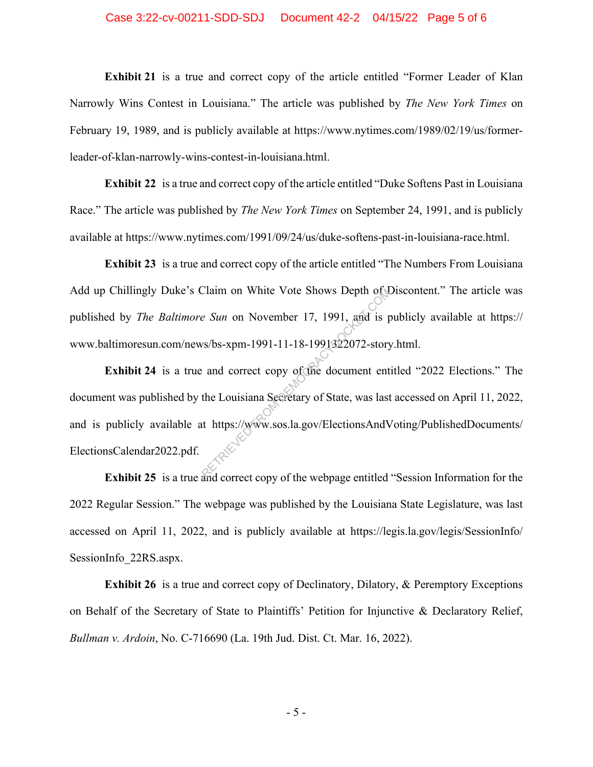#### Case 3:22-cv-00211-SDD-SDJ Document 42-2 04/15/22 Page 5 of 6

**Exhibit 21** is a true and correct copy of the article entitled "Former Leader of Klan Narrowly Wins Contest in Louisiana." The article was published by *The New York Times* on February 19, 1989, and is publicly available at https://www.nytimes.com/1989/02/19/us/formerleader-of-klan-narrowly-wins-contest-in-louisiana.html.

**Exhibit 22** is a true and correct copy of the article entitled "Duke Softens Past in Louisiana Race." The article was published by *The New York Times* on September 24, 1991, and is publicly available at https://www.nytimes.com/1991/09/24/us/duke-softens-past-in-louisiana-race.html.

**Exhibit 23** is a true and correct copy of the article entitled "The Numbers From Louisiana Add up Chillingly Duke's Claim on White Vote Shows Depth of Discontent." The article was published by *The Baltimore Sun* on November 17, 1991, and is publicly available at https:// www.baltimoresun.com/news/bs-xpm-1991-11-18-1991322072-story.html.

**Exhibit 24** is a true and correct copy of the document entitled "2022 Elections." The document was published by the Louisiana Secretary of State, was last accessed on April 11, 2022, and is publicly available at https://www.sos.la.gov/ElectionsAndVoting/PublishedDocuments/ ElectionsCalendar2022.pdf. Claim on White Vote Shows Depth ot all of the Shows Depth ot all of the Shows Depth ot all of the Shows Depth is provided to the Louisiana Secretary of State, was last that the Louisiana Secretary of State, was last that t

**Exhibit 25** is a true and correct copy of the webpage entitled "Session Information for the 2022 Regular Session." The webpage was published by the Louisiana State Legislature, was last accessed on April 11, 2022, and is publicly available at https://legis.la.gov/legis/SessionInfo/ SessionInfo\_22RS.aspx.

**Exhibit 26** is a true and correct copy of Declinatory, Dilatory, & Peremptory Exceptions on Behalf of the Secretary of State to Plaintiffs' Petition for Injunctive & Declaratory Relief, *Bullman v. Ardoin*, No. C-716690 (La. 19th Jud. Dist. Ct. Mar. 16, 2022).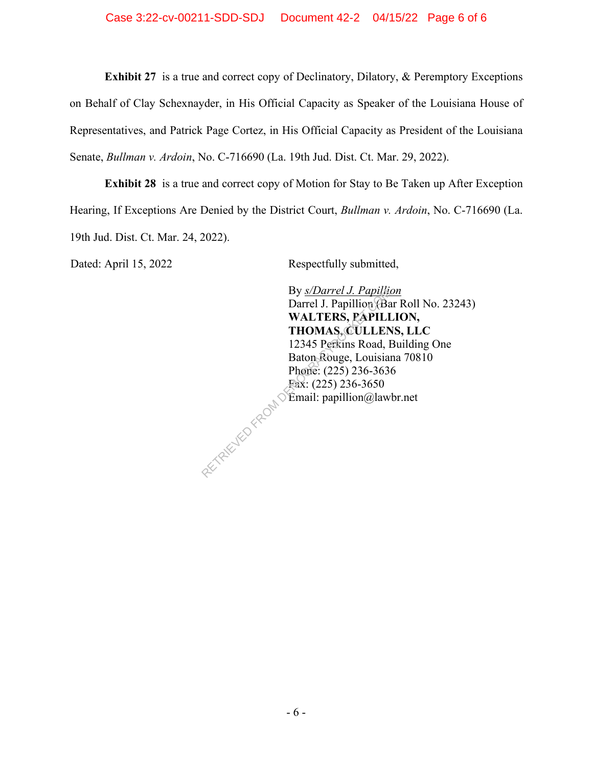**Exhibit 27** is a true and correct copy of Declinatory, Dilatory, & Peremptory Exceptions on Behalf of Clay Schexnayder, in His Official Capacity as Speaker of the Louisiana House of Representatives, and Patrick Page Cortez, in His Official Capacity as President of the Louisiana Senate, *Bullman v. Ardoin*, No. C-716690 (La. 19th Jud. Dist. Ct. Mar. 29, 2022).

**Exhibit 28** is a true and correct copy of Motion for Stay to Be Taken up After Exception Hearing, If Exceptions Are Denied by the District Court, *Bullman v. Ardoin*, No. C-716690 (La. 19th Jud. Dist. Ct. Mar. 24, 2022).

Dated: April 15, 2022 Respectfully submitted,

By *s/Darrel J. Papillion*  Darrel J. Papillion (Bar Roll No. 23243) **WALTERS, PAPILLION, THOMAS, CULLENS, LLC** 12345 Perkins Road, Building One Baton Rouge, Louisiana 70810 Phone: (225) 236-3636 Fax: (225) 236-3650 Email: papillion@lawbr.net By *s/Darrel J. Papillion*<br>Darrel J. Papillion (Ba<br>WALTERS, PAPILI<br>THOMAS, CULLEN<br>12345 Perkins Road, I<br>Baton Rouge, Louisia<br>Phone: (225) 236-3650<br>Fax: (225) 236-3650<br>Email: papillion@law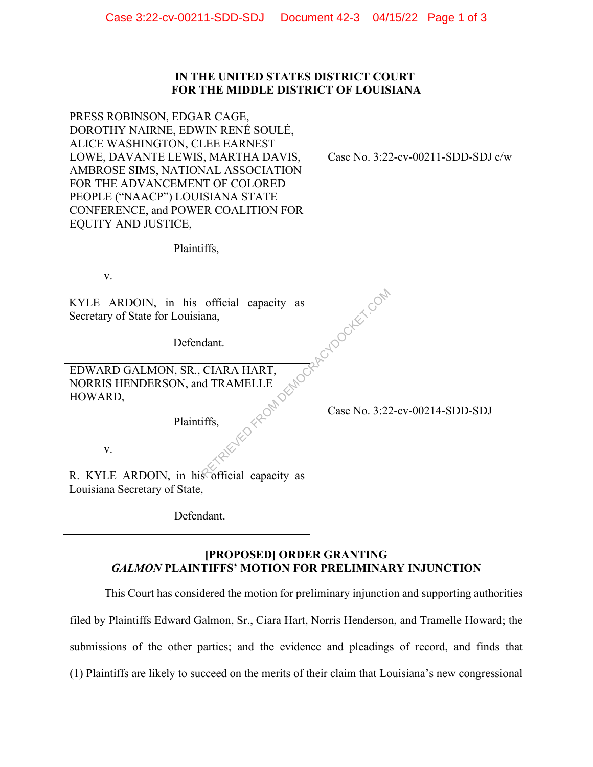## **IN THE UNITED STATES DISTRICT COURT FOR THE MIDDLE DISTRICT OF LOUISIANA**

| PRESS ROBINSON, EDGAR CAGE,<br>DOROTHY NAIRNE, EDWIN RENÉ SOULÉ,<br>ALICE WASHINGTON, CLEE EARNEST<br>LOWE, DAVANTE LEWIS, MARTHA DAVIS,<br>AMBROSE SIMS, NATIONAL ASSOCIATION<br>FOR THE ADVANCEMENT OF COLORED<br>PEOPLE ("NAACP") LOUISIANA STATE<br>CONFERENCE, and POWER COALITION FOR<br><b>EQUITY AND JUSTICE,</b> | Case No. $3:22$ -cv-00211-SDD-SDJ c/w |
|---------------------------------------------------------------------------------------------------------------------------------------------------------------------------------------------------------------------------------------------------------------------------------------------------------------------------|---------------------------------------|
| Plaintiffs,                                                                                                                                                                                                                                                                                                               |                                       |
| V.                                                                                                                                                                                                                                                                                                                        |                                       |
| KYLE ARDOIN, in his official capacity as<br>Secretary of State for Louisiana,                                                                                                                                                                                                                                             | <b>Cyrock</b> Ex.com                  |
| Defendant.                                                                                                                                                                                                                                                                                                                |                                       |
| EDWARD GALMON, SR., CIARA HART,<br>NORRIS HENDERSON, and TRAMELLE<br>HOWARD,                                                                                                                                                                                                                                              |                                       |
| Plaintiffs,                                                                                                                                                                                                                                                                                                               | Case No. 3:22-cv-00214-SDD-SDJ        |
| V.                                                                                                                                                                                                                                                                                                                        |                                       |
| R. KYLE ARDOIN, in his official capacity as<br>Louisiana Secretary of State,                                                                                                                                                                                                                                              |                                       |
| Defendant.                                                                                                                                                                                                                                                                                                                |                                       |

# **[PROPOSED] ORDER GRANTING**  *GALMON* **PLAINTIFFS' MOTION FOR PRELIMINARY INJUNCTION**

This Court has considered the motion for preliminary injunction and supporting authorities filed by Plaintiffs Edward Galmon, Sr., Ciara Hart, Norris Henderson, and Tramelle Howard; the submissions of the other parties; and the evidence and pleadings of record, and finds that (1) Plaintiffs are likely to succeed on the merits of their claim that Louisiana's new congressional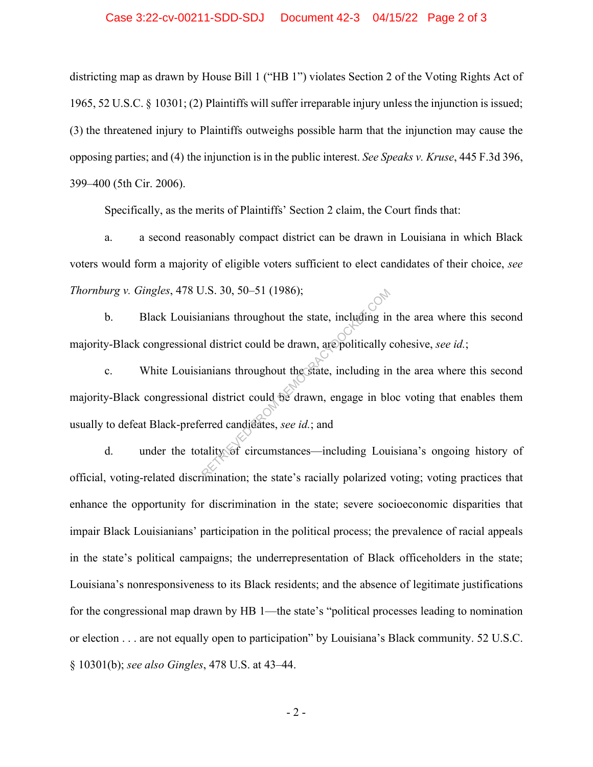districting map as drawn by House Bill 1 ("HB 1") violates Section 2 of the Voting Rights Act of 1965, 52 U.S.C. § 10301; (2) Plaintiffs will suffer irreparable injury unless the injunction is issued; (3) the threatened injury to Plaintiffs outweighs possible harm that the injunction may cause the opposing parties; and (4) the injunction is in the public interest. *See Speaks v. Kruse*, 445 F.3d 396, 399–400 (5th Cir. 2006).

Specifically, as the merits of Plaintiffs' Section 2 claim, the Court finds that:

a. a second reasonably compact district can be drawn in Louisiana in which Black voters would form a majority of eligible voters sufficient to elect candidates of their choice, *see Thornburg v. Gingles*, 478 U.S. 30, 50–51 (1986);

b. Black Louisianians throughout the state, including in the area where this second majority-Black congressional district could be drawn, are politically cohesive, *see id.*;

c. White Louisianians throughout the state, including in the area where this second majority-Black congressional district could be drawn, engage in bloc voting that enables them usually to defeat Black-preferred candidates, *see id.*; and  $80.50, 50-51$  (1986);<br>anians throughout the state, including in<br>al district could be drawn, are politically of<br>anians throughout the state, including in<br>al district could be drawn, engage in ble-<br>arred candidates, *see i* 

d. under the totality of circumstances—including Louisiana's ongoing history of official, voting-related discrimination; the state's racially polarized voting; voting practices that enhance the opportunity for discrimination in the state; severe socioeconomic disparities that impair Black Louisianians' participation in the political process; the prevalence of racial appeals in the state's political campaigns; the underrepresentation of Black officeholders in the state; Louisiana's nonresponsiveness to its Black residents; and the absence of legitimate justifications for the congressional map drawn by HB 1—the state's "political processes leading to nomination or election . . . are not equally open to participation" by Louisiana's Black community. 52 U.S.C. § 10301(b); *see also Gingles*, 478 U.S. at 43–44.